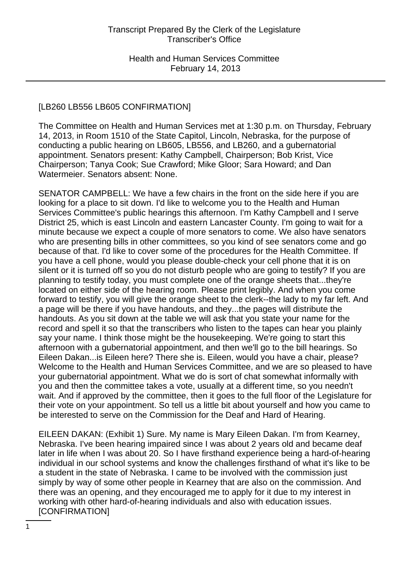# [LB260 LB556 LB605 CONFIRMATION]

The Committee on Health and Human Services met at 1:30 p.m. on Thursday, February 14, 2013, in Room 1510 of the State Capitol, Lincoln, Nebraska, for the purpose of conducting a public hearing on LB605, LB556, and LB260, and a gubernatorial appointment. Senators present: Kathy Campbell, Chairperson; Bob Krist, Vice Chairperson; Tanya Cook; Sue Crawford; Mike Gloor; Sara Howard; and Dan Watermeier. Senators absent: None.

SENATOR CAMPBELL: We have a few chairs in the front on the side here if you are looking for a place to sit down. I'd like to welcome you to the Health and Human Services Committee's public hearings this afternoon. I'm Kathy Campbell and I serve District 25, which is east Lincoln and eastern Lancaster County. I'm going to wait for a minute because we expect a couple of more senators to come. We also have senators who are presenting bills in other committees, so you kind of see senators come and go because of that. I'd like to cover some of the procedures for the Health Committee. If you have a cell phone, would you please double-check your cell phone that it is on silent or it is turned off so you do not disturb people who are going to testify? If you are planning to testify today, you must complete one of the orange sheets that...they're located on either side of the hearing room. Please print legibly. And when you come forward to testify, you will give the orange sheet to the clerk--the lady to my far left. And a page will be there if you have handouts, and they...the pages will distribute the handouts. As you sit down at the table we will ask that you state your name for the record and spell it so that the transcribers who listen to the tapes can hear you plainly say your name. I think those might be the housekeeping. We're going to start this afternoon with a gubernatorial appointment, and then we'll go to the bill hearings. So Eileen Dakan...is Eileen here? There she is. Eileen, would you have a chair, please? Welcome to the Health and Human Services Committee, and we are so pleased to have your gubernatorial appointment. What we do is sort of chat somewhat informally with you and then the committee takes a vote, usually at a different time, so you needn't wait. And if approved by the committee, then it goes to the full floor of the Legislature for their vote on your appointment. So tell us a little bit about yourself and how you came to be interested to serve on the Commission for the Deaf and Hard of Hearing.

EILEEN DAKAN: (Exhibit 1) Sure. My name is Mary Eileen Dakan. I'm from Kearney, Nebraska. I've been hearing impaired since I was about 2 years old and became deaf later in life when I was about 20. So I have firsthand experience being a hard-of-hearing individual in our school systems and know the challenges firsthand of what it's like to be a student in the state of Nebraska. I came to be involved with the commission just simply by way of some other people in Kearney that are also on the commission. And there was an opening, and they encouraged me to apply for it due to my interest in working with other hard-of-hearing individuals and also with education issues. [CONFIRMATION]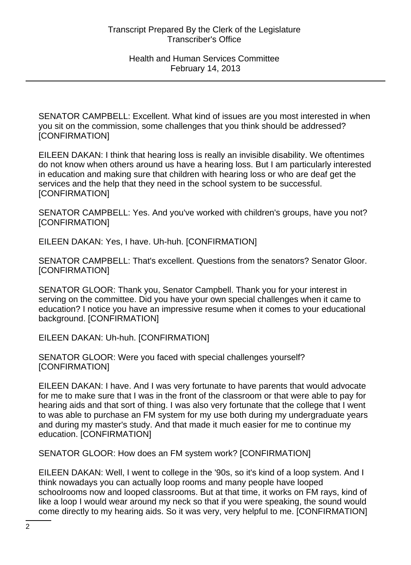SENATOR CAMPBELL: Excellent. What kind of issues are you most interested in when you sit on the commission, some challenges that you think should be addressed? [CONFIRMATION]

EILEEN DAKAN: I think that hearing loss is really an invisible disability. We oftentimes do not know when others around us have a hearing loss. But I am particularly interested in education and making sure that children with hearing loss or who are deaf get the services and the help that they need in the school system to be successful. [CONFIRMATION]

SENATOR CAMPBELL: Yes. And you've worked with children's groups, have you not? [CONFIRMATION]

EILEEN DAKAN: Yes, I have. Uh-huh. [CONFIRMATION]

SENATOR CAMPBELL: That's excellent. Questions from the senators? Senator Gloor. [CONFIRMATION]

SENATOR GLOOR: Thank you, Senator Campbell. Thank you for your interest in serving on the committee. Did you have your own special challenges when it came to education? I notice you have an impressive resume when it comes to your educational background. [CONFIRMATION]

EILEEN DAKAN: Uh-huh. [CONFIRMATION]

SENATOR GLOOR: Were you faced with special challenges yourself? [CONFIRMATION]

EILEEN DAKAN: I have. And I was very fortunate to have parents that would advocate for me to make sure that I was in the front of the classroom or that were able to pay for hearing aids and that sort of thing. I was also very fortunate that the college that I went to was able to purchase an FM system for my use both during my undergraduate years and during my master's study. And that made it much easier for me to continue my education. [CONFIRMATION]

SENATOR GLOOR: How does an FM system work? [CONFIRMATION]

EILEEN DAKAN: Well, I went to college in the '90s, so it's kind of a loop system. And I think nowadays you can actually loop rooms and many people have looped schoolrooms now and looped classrooms. But at that time, it works on FM rays, kind of like a loop I would wear around my neck so that if you were speaking, the sound would come directly to my hearing aids. So it was very, very helpful to me. [CONFIRMATION]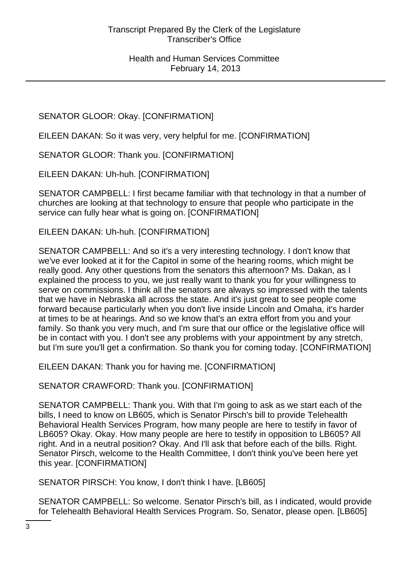# SENATOR GLOOR: Okay. [CONFIRMATION]

EILEEN DAKAN: So it was very, very helpful for me. [CONFIRMATION]

SENATOR GLOOR: Thank you. [CONFIRMATION]

EILEEN DAKAN: Uh-huh. [CONFIRMATION]

SENATOR CAMPBELL: I first became familiar with that technology in that a number of churches are looking at that technology to ensure that people who participate in the service can fully hear what is going on. [CONFIRMATION]

EILEEN DAKAN: Uh-huh. [CONFIRMATION]

SENATOR CAMPBELL: And so it's a very interesting technology. I don't know that we've ever looked at it for the Capitol in some of the hearing rooms, which might be really good. Any other questions from the senators this afternoon? Ms. Dakan, as I explained the process to you, we just really want to thank you for your willingness to serve on commissions. I think all the senators are always so impressed with the talents that we have in Nebraska all across the state. And it's just great to see people come forward because particularly when you don't live inside Lincoln and Omaha, it's harder at times to be at hearings. And so we know that's an extra effort from you and your family. So thank you very much, and I'm sure that our office or the legislative office will be in contact with you. I don't see any problems with your appointment by any stretch, but I'm sure you'll get a confirmation. So thank you for coming today. [CONFIRMATION]

EILEEN DAKAN: Thank you for having me. [CONFIRMATION]

SENATOR CRAWFORD: Thank you. [CONFIRMATION]

SENATOR CAMPBELL: Thank you. With that I'm going to ask as we start each of the bills, I need to know on LB605, which is Senator Pirsch's bill to provide Telehealth Behavioral Health Services Program, how many people are here to testify in favor of LB605? Okay. Okay. How many people are here to testify in opposition to LB605? All right. And in a neutral position? Okay. And I'll ask that before each of the bills. Right. Senator Pirsch, welcome to the Health Committee, I don't think you've been here yet this year. [CONFIRMATION]

SENATOR PIRSCH: You know, I don't think I have. [LB605]

SENATOR CAMPBELL: So welcome. Senator Pirsch's bill, as I indicated, would provide for Telehealth Behavioral Health Services Program. So, Senator, please open. [LB605]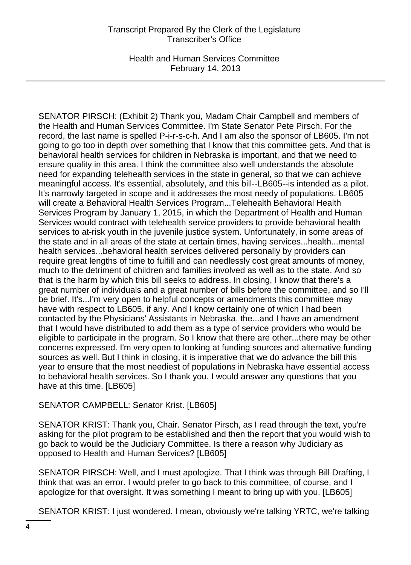Health and Human Services Committee February 14, 2013

SENATOR PIRSCH: (Exhibit 2) Thank you, Madam Chair Campbell and members of the Health and Human Services Committee. I'm State Senator Pete Pirsch. For the record, the last name is spelled P-i-r-s-c-h. And I am also the sponsor of LB605. I'm not going to go too in depth over something that I know that this committee gets. And that is behavioral health services for children in Nebraska is important, and that we need to ensure quality in this area. I think the committee also well understands the absolute need for expanding telehealth services in the state in general, so that we can achieve meaningful access. It's essential, absolutely, and this bill--LB605--is intended as a pilot. It's narrowly targeted in scope and it addresses the most needy of populations. LB605 will create a Behavioral Health Services Program...Telehealth Behavioral Health Services Program by January 1, 2015, in which the Department of Health and Human Services would contract with telehealth service providers to provide behavioral health services to at-risk youth in the juvenile justice system. Unfortunately, in some areas of the state and in all areas of the state at certain times, having services...health...mental health services...behavioral health services delivered personally by providers can require great lengths of time to fulfill and can needlessly cost great amounts of money, much to the detriment of children and families involved as well as to the state. And so that is the harm by which this bill seeks to address. In closing, I know that there's a great number of individuals and a great number of bills before the committee, and so I'll be brief. It's...I'm very open to helpful concepts or amendments this committee may have with respect to LB605, if any. And I know certainly one of which I had been contacted by the Physicians' Assistants in Nebraska, the...and I have an amendment that I would have distributed to add them as a type of service providers who would be eligible to participate in the program. So I know that there are other...there may be other concerns expressed. I'm very open to looking at funding sources and alternative funding sources as well. But I think in closing, it is imperative that we do advance the bill this year to ensure that the most neediest of populations in Nebraska have essential access to behavioral health services. So I thank you. I would answer any questions that you have at this time. [LB605]

# SENATOR CAMPBELL: Senator Krist. [LB605]

SENATOR KRIST: Thank you, Chair. Senator Pirsch, as I read through the text, you're asking for the pilot program to be established and then the report that you would wish to go back to would be the Judiciary Committee. Is there a reason why Judiciary as opposed to Health and Human Services? [LB605]

SENATOR PIRSCH: Well, and I must apologize. That I think was through Bill Drafting, I think that was an error. I would prefer to go back to this committee, of course, and I apologize for that oversight. It was something I meant to bring up with you. [LB605]

SENATOR KRIST: I just wondered. I mean, obviously we're talking YRTC, we're talking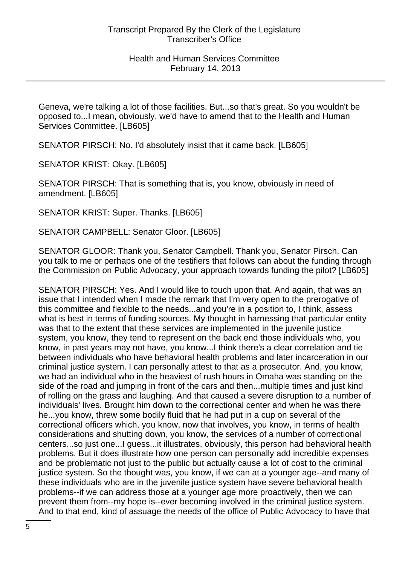Geneva, we're talking a lot of those facilities. But...so that's great. So you wouldn't be opposed to...I mean, obviously, we'd have to amend that to the Health and Human Services Committee. [LB605]

SENATOR PIRSCH: No. I'd absolutely insist that it came back. [LB605]

SENATOR KRIST: Okay. [LB605]

SENATOR PIRSCH: That is something that is, you know, obviously in need of amendment. [LB605]

SENATOR KRIST: Super. Thanks. [LB605]

SENATOR CAMPBELL: Senator Gloor. [LB605]

SENATOR GLOOR: Thank you, Senator Campbell. Thank you, Senator Pirsch. Can you talk to me or perhaps one of the testifiers that follows can about the funding through the Commission on Public Advocacy, your approach towards funding the pilot? [LB605]

SENATOR PIRSCH: Yes. And I would like to touch upon that. And again, that was an issue that I intended when I made the remark that I'm very open to the prerogative of this committee and flexible to the needs...and you're in a position to, I think, assess what is best in terms of funding sources. My thought in harnessing that particular entity was that to the extent that these services are implemented in the juvenile justice system, you know, they tend to represent on the back end those individuals who, you know, in past years may not have, you know...I think there's a clear correlation and tie between individuals who have behavioral health problems and later incarceration in our criminal justice system. I can personally attest to that as a prosecutor. And, you know, we had an individual who in the heaviest of rush hours in Omaha was standing on the side of the road and jumping in front of the cars and then...multiple times and just kind of rolling on the grass and laughing. And that caused a severe disruption to a number of individuals' lives. Brought him down to the correctional center and when he was there he...you know, threw some bodily fluid that he had put in a cup on several of the correctional officers which, you know, now that involves, you know, in terms of health considerations and shutting down, you know, the services of a number of correctional centers...so just one...I guess...it illustrates, obviously, this person had behavioral health problems. But it does illustrate how one person can personally add incredible expenses and be problematic not just to the public but actually cause a lot of cost to the criminal justice system. So the thought was, you know, if we can at a younger age--and many of these individuals who are in the juvenile justice system have severe behavioral health problems--if we can address those at a younger age more proactively, then we can prevent them from--my hope is--ever becoming involved in the criminal justice system. And to that end, kind of assuage the needs of the office of Public Advocacy to have that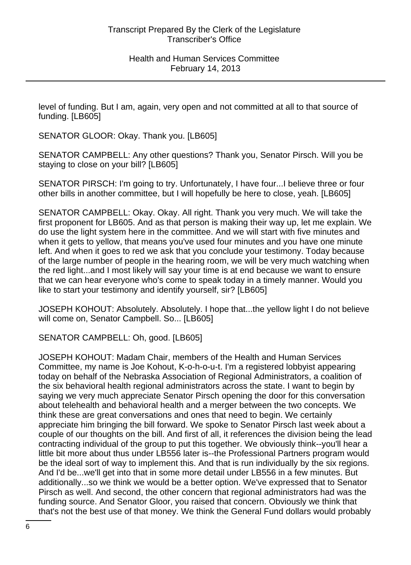level of funding. But I am, again, very open and not committed at all to that source of funding. [LB605]

SENATOR GLOOR: Okay. Thank you. [LB605]

SENATOR CAMPBELL: Any other questions? Thank you, Senator Pirsch. Will you be staying to close on your bill? [LB605]

SENATOR PIRSCH: I'm going to try. Unfortunately, I have four...I believe three or four other bills in another committee, but I will hopefully be here to close, yeah. [LB605]

SENATOR CAMPBELL: Okay. Okay. All right. Thank you very much. We will take the first proponent for LB605. And as that person is making their way up, let me explain. We do use the light system here in the committee. And we will start with five minutes and when it gets to yellow, that means you've used four minutes and you have one minute left. And when it goes to red we ask that you conclude your testimony. Today because of the large number of people in the hearing room, we will be very much watching when the red light...and I most likely will say your time is at end because we want to ensure that we can hear everyone who's come to speak today in a timely manner. Would you like to start your testimony and identify yourself, sir? [LB605]

JOSEPH KOHOUT: Absolutely. Absolutely. I hope that...the yellow light I do not believe will come on, Senator Campbell. So... [LB605]

SENATOR CAMPBELL: Oh, good. [LB605]

JOSEPH KOHOUT: Madam Chair, members of the Health and Human Services Committee, my name is Joe Kohout, K-o-h-o-u-t. I'm a registered lobbyist appearing today on behalf of the Nebraska Association of Regional Administrators, a coalition of the six behavioral health regional administrators across the state. I want to begin by saying we very much appreciate Senator Pirsch opening the door for this conversation about telehealth and behavioral health and a merger between the two concepts. We think these are great conversations and ones that need to begin. We certainly appreciate him bringing the bill forward. We spoke to Senator Pirsch last week about a couple of our thoughts on the bill. And first of all, it references the division being the lead contracting individual of the group to put this together. We obviously think--you'll hear a little bit more about thus under LB556 later is--the Professional Partners program would be the ideal sort of way to implement this. And that is run individually by the six regions. And I'd be...we'll get into that in some more detail under LB556 in a few minutes. But additionally...so we think we would be a better option. We've expressed that to Senator Pirsch as well. And second, the other concern that regional administrators had was the funding source. And Senator Gloor, you raised that concern. Obviously we think that that's not the best use of that money. We think the General Fund dollars would probably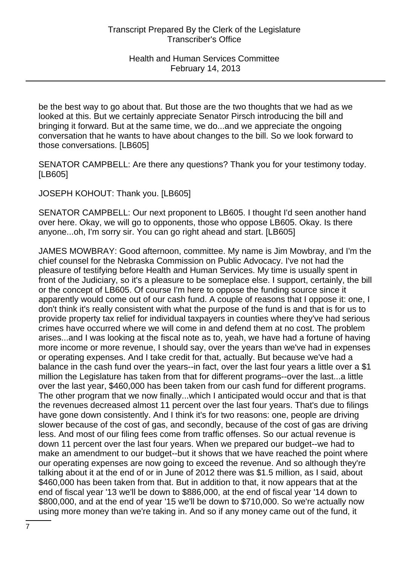be the best way to go about that. But those are the two thoughts that we had as we looked at this. But we certainly appreciate Senator Pirsch introducing the bill and bringing it forward. But at the same time, we do...and we appreciate the ongoing conversation that he wants to have about changes to the bill. So we look forward to those conversations. [LB605]

SENATOR CAMPBELL: Are there any questions? Thank you for your testimony today. [LB605]

JOSEPH KOHOUT: Thank you. [LB605]

SENATOR CAMPBELL: Our next proponent to LB605. I thought I'd seen another hand over here. Okay, we will go to opponents, those who oppose LB605. Okay. Is there anyone...oh, I'm sorry sir. You can go right ahead and start. [LB605]

JAMES MOWBRAY: Good afternoon, committee. My name is Jim Mowbray, and I'm the chief counsel for the Nebraska Commission on Public Advocacy. I've not had the pleasure of testifying before Health and Human Services. My time is usually spent in front of the Judiciary, so it's a pleasure to be someplace else. I support, certainly, the bill or the concept of LB605. Of course I'm here to oppose the funding source since it apparently would come out of our cash fund. A couple of reasons that I oppose it: one, I don't think it's really consistent with what the purpose of the fund is and that is for us to provide property tax relief for individual taxpayers in counties where they've had serious crimes have occurred where we will come in and defend them at no cost. The problem arises...and I was looking at the fiscal note as to, yeah, we have had a fortune of having more income or more revenue, I should say, over the years than we've had in expenses or operating expenses. And I take credit for that, actually. But because we've had a balance in the cash fund over the years--in fact, over the last four years a little over a \$1 million the Legislature has taken from that for different programs--over the last...a little over the last year, \$460,000 has been taken from our cash fund for different programs. The other program that we now finally...which I anticipated would occur and that is that the revenues decreased almost 11 percent over the last four years. That's due to filings have gone down consistently. And I think it's for two reasons: one, people are driving slower because of the cost of gas, and secondly, because of the cost of gas are driving less. And most of our filing fees come from traffic offenses. So our actual revenue is down 11 percent over the last four years. When we prepared our budget--we had to make an amendment to our budget--but it shows that we have reached the point where our operating expenses are now going to exceed the revenue. And so although they're talking about it at the end of or in June of 2012 there was \$1.5 million, as I said, about \$460,000 has been taken from that. But in addition to that, it now appears that at the end of fiscal year '13 we'll be down to \$886,000, at the end of fiscal year '14 down to \$800,000, and at the end of year '15 we'll be down to \$710,000. So we're actually now using more money than we're taking in. And so if any money came out of the fund, it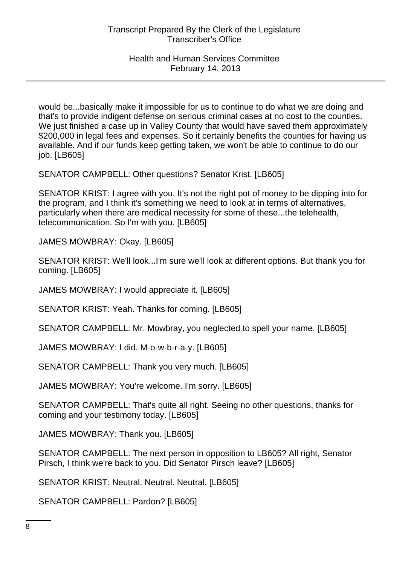would be...basically make it impossible for us to continue to do what we are doing and that's to provide indigent defense on serious criminal cases at no cost to the counties. We just finished a case up in Valley County that would have saved them approximately \$200,000 in legal fees and expenses. So it certainly benefits the counties for having us available. And if our funds keep getting taken, we won't be able to continue to do our job. [LB605]

SENATOR CAMPBELL: Other questions? Senator Krist. [LB605]

SENATOR KRIST: I agree with you. It's not the right pot of money to be dipping into for the program, and I think it's something we need to look at in terms of alternatives, particularly when there are medical necessity for some of these...the telehealth, telecommunication. So I'm with you. [LB605]

JAMES MOWBRAY: Okay. [LB605]

SENATOR KRIST: We'll look...I'm sure we'll look at different options. But thank you for coming. [LB605]

JAMES MOWBRAY: I would appreciate it. [LB605]

SENATOR KRIST: Yeah. Thanks for coming. [LB605]

SENATOR CAMPBELL: Mr. Mowbray, you neglected to spell your name. [LB605]

JAMES MOWBRAY: I did. M-o-w-b-r-a-y. [LB605]

SENATOR CAMPBELL: Thank you very much. [LB605]

JAMES MOWBRAY: You're welcome. I'm sorry. [LB605]

SENATOR CAMPBELL: That's quite all right. Seeing no other questions, thanks for coming and your testimony today. [LB605]

JAMES MOWBRAY: Thank you. [LB605]

SENATOR CAMPBELL: The next person in opposition to LB605? All right, Senator Pirsch, I think we're back to you. Did Senator Pirsch leave? [LB605]

SENATOR KRIST: Neutral. Neutral. Neutral. [LB605]

SENATOR CAMPBELL: Pardon? [LB605]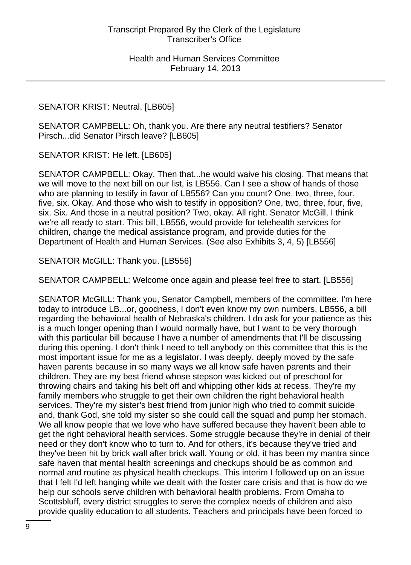### SENATOR KRIST: Neutral. [LB605]

SENATOR CAMPBELL: Oh, thank you. Are there any neutral testifiers? Senator Pirsch...did Senator Pirsch leave? [LB605]

SENATOR KRIST: He left. [LB605]

SENATOR CAMPBELL: Okay. Then that...he would waive his closing. That means that we will move to the next bill on our list, is LB556. Can I see a show of hands of those who are planning to testify in favor of LB556? Can you count? One, two, three, four, five, six. Okay. And those who wish to testify in opposition? One, two, three, four, five, six. Six. And those in a neutral position? Two, okay. All right. Senator McGill, I think we're all ready to start. This bill, LB556, would provide for telehealth services for children, change the medical assistance program, and provide duties for the Department of Health and Human Services. (See also Exhibits 3, 4, 5) [LB556]

SENATOR McGILL: Thank you. [LB556]

SENATOR CAMPBELL: Welcome once again and please feel free to start. [LB556]

SENATOR McGILL: Thank you, Senator Campbell, members of the committee. I'm here today to introduce LB...or, goodness, I don't even know my own numbers, LB556, a bill regarding the behavioral health of Nebraska's children. I do ask for your patience as this is a much longer opening than I would normally have, but I want to be very thorough with this particular bill because I have a number of amendments that I'll be discussing during this opening. I don't think I need to tell anybody on this committee that this is the most important issue for me as a legislator. I was deeply, deeply moved by the safe haven parents because in so many ways we all know safe haven parents and their children. They are my best friend whose stepson was kicked out of preschool for throwing chairs and taking his belt off and whipping other kids at recess. They're my family members who struggle to get their own children the right behavioral health services. They're my sister's best friend from junior high who tried to commit suicide and, thank God, she told my sister so she could call the squad and pump her stomach. We all know people that we love who have suffered because they haven't been able to get the right behavioral health services. Some struggle because they're in denial of their need or they don't know who to turn to. And for others, it's because they've tried and they've been hit by brick wall after brick wall. Young or old, it has been my mantra since safe haven that mental health screenings and checkups should be as common and normal and routine as physical health checkups. This interim I followed up on an issue that I felt I'd left hanging while we dealt with the foster care crisis and that is how do we help our schools serve children with behavioral health problems. From Omaha to Scottsbluff, every district struggles to serve the complex needs of children and also provide quality education to all students. Teachers and principals have been forced to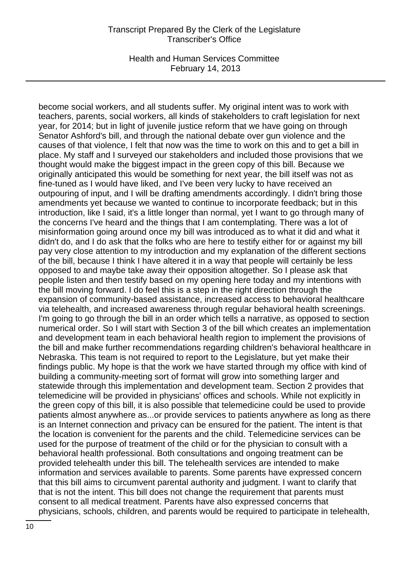Health and Human Services Committee February 14, 2013

become social workers, and all students suffer. My original intent was to work with teachers, parents, social workers, all kinds of stakeholders to craft legislation for next year, for 2014; but in light of juvenile justice reform that we have going on through Senator Ashford's bill, and through the national debate over gun violence and the causes of that violence, I felt that now was the time to work on this and to get a bill in place. My staff and I surveyed our stakeholders and included those provisions that we thought would make the biggest impact in the green copy of this bill. Because we originally anticipated this would be something for next year, the bill itself was not as fine-tuned as I would have liked, and I've been very lucky to have received an outpouring of input, and I will be drafting amendments accordingly. I didn't bring those amendments yet because we wanted to continue to incorporate feedback; but in this introduction, like I said, it's a little longer than normal, yet I want to go through many of the concerns I've heard and the things that I am contemplating. There was a lot of misinformation going around once my bill was introduced as to what it did and what it didn't do, and I do ask that the folks who are here to testify either for or against my bill pay very close attention to my introduction and my explanation of the different sections of the bill, because I think I have altered it in a way that people will certainly be less opposed to and maybe take away their opposition altogether. So I please ask that people listen and then testify based on my opening here today and my intentions with the bill moving forward. I do feel this is a step in the right direction through the expansion of community-based assistance, increased access to behavioral healthcare via telehealth, and increased awareness through regular behavioral health screenings. I'm going to go through the bill in an order which tells a narrative, as opposed to section numerical order. So I will start with Section 3 of the bill which creates an implementation and development team in each behavioral health region to implement the provisions of the bill and make further recommendations regarding children's behavioral healthcare in Nebraska. This team is not required to report to the Legislature, but yet make their findings public. My hope is that the work we have started through my office with kind of building a community-meeting sort of format will grow into something larger and statewide through this implementation and development team. Section 2 provides that telemedicine will be provided in physicians' offices and schools. While not explicitly in the green copy of this bill, it is also possible that telemedicine could be used to provide patients almost anywhere as...or provide services to patients anywhere as long as there is an Internet connection and privacy can be ensured for the patient. The intent is that the location is convenient for the parents and the child. Telemedicine services can be used for the purpose of treatment of the child or for the physician to consult with a behavioral health professional. Both consultations and ongoing treatment can be provided telehealth under this bill. The telehealth services are intended to make information and services available to parents. Some parents have expressed concern that this bill aims to circumvent parental authority and judgment. I want to clarify that that is not the intent. This bill does not change the requirement that parents must consent to all medical treatment. Parents have also expressed concerns that physicians, schools, children, and parents would be required to participate in telehealth,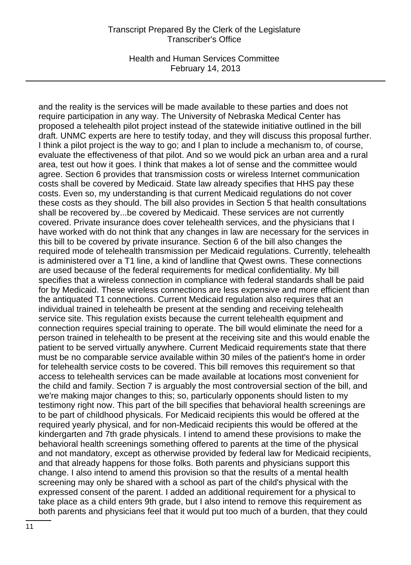Health and Human Services Committee February 14, 2013

and the reality is the services will be made available to these parties and does not require participation in any way. The University of Nebraska Medical Center has proposed a telehealth pilot project instead of the statewide initiative outlined in the bill draft. UNMC experts are here to testify today, and they will discuss this proposal further. I think a pilot project is the way to go; and I plan to include a mechanism to, of course, evaluate the effectiveness of that pilot. And so we would pick an urban area and a rural area, test out how it goes. I think that makes a lot of sense and the committee would agree. Section 6 provides that transmission costs or wireless Internet communication costs shall be covered by Medicaid. State law already specifies that HHS pay these costs. Even so, my understanding is that current Medicaid regulations do not cover these costs as they should. The bill also provides in Section 5 that health consultations shall be recovered by...be covered by Medicaid. These services are not currently covered. Private insurance does cover telehealth services, and the physicians that I have worked with do not think that any changes in law are necessary for the services in this bill to be covered by private insurance. Section 6 of the bill also changes the required mode of telehealth transmission per Medicaid regulations. Currently, telehealth is administered over a T1 line, a kind of landline that Qwest owns. These connections are used because of the federal requirements for medical confidentiality. My bill specifies that a wireless connection in compliance with federal standards shall be paid for by Medicaid. These wireless connections are less expensive and more efficient than the antiquated T1 connections. Current Medicaid regulation also requires that an individual trained in telehealth be present at the sending and receiving telehealth service site. This regulation exists because the current telehealth equipment and connection requires special training to operate. The bill would eliminate the need for a person trained in telehealth to be present at the receiving site and this would enable the patient to be served virtually anywhere. Current Medicaid requirements state that there must be no comparable service available within 30 miles of the patient's home in order for telehealth service costs to be covered. This bill removes this requirement so that access to telehealth services can be made available at locations most convenient for the child and family. Section 7 is arguably the most controversial section of the bill, and we're making major changes to this; so, particularly opponents should listen to my testimony right now. This part of the bill specifies that behavioral health screenings are to be part of childhood physicals. For Medicaid recipients this would be offered at the required yearly physical, and for non-Medicaid recipients this would be offered at the kindergarten and 7th grade physicals. I intend to amend these provisions to make the behavioral health screenings something offered to parents at the time of the physical and not mandatory, except as otherwise provided by federal law for Medicaid recipients, and that already happens for those folks. Both parents and physicians support this change. I also intend to amend this provision so that the results of a mental health screening may only be shared with a school as part of the child's physical with the expressed consent of the parent. I added an additional requirement for a physical to take place as a child enters 9th grade, but I also intend to remove this requirement as both parents and physicians feel that it would put too much of a burden, that they could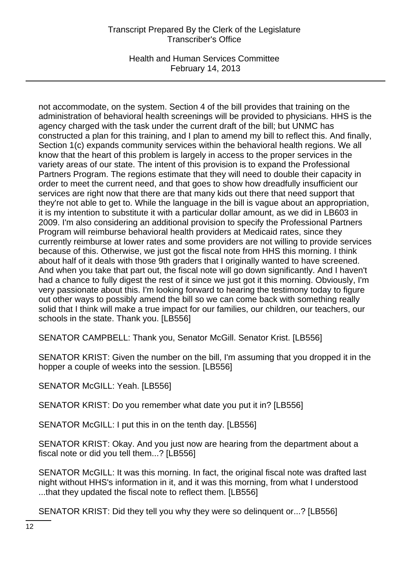Health and Human Services Committee February 14, 2013

not accommodate, on the system. Section 4 of the bill provides that training on the administration of behavioral health screenings will be provided to physicians. HHS is the agency charged with the task under the current draft of the bill; but UNMC has constructed a plan for this training, and I plan to amend my bill to reflect this. And finally, Section 1(c) expands community services within the behavioral health regions. We all know that the heart of this problem is largely in access to the proper services in the variety areas of our state. The intent of this provision is to expand the Professional Partners Program. The regions estimate that they will need to double their capacity in order to meet the current need, and that goes to show how dreadfully insufficient our services are right now that there are that many kids out there that need support that they're not able to get to. While the language in the bill is vague about an appropriation, it is my intention to substitute it with a particular dollar amount, as we did in LB603 in 2009. I'm also considering an additional provision to specify the Professional Partners Program will reimburse behavioral health providers at Medicaid rates, since they currently reimburse at lower rates and some providers are not willing to provide services because of this. Otherwise, we just got the fiscal note from HHS this morning. I think about half of it deals with those 9th graders that I originally wanted to have screened. And when you take that part out, the fiscal note will go down significantly. And I haven't had a chance to fully digest the rest of it since we just got it this morning. Obviously, I'm very passionate about this. I'm looking forward to hearing the testimony today to figure out other ways to possibly amend the bill so we can come back with something really solid that I think will make a true impact for our families, our children, our teachers, our schools in the state. Thank you. [LB556]

SENATOR CAMPBELL: Thank you, Senator McGill. Senator Krist. [LB556]

SENATOR KRIST: Given the number on the bill, I'm assuming that you dropped it in the hopper a couple of weeks into the session. [LB556]

SENATOR McGILL: Yeah. [LB556]

SENATOR KRIST: Do you remember what date you put it in? [LB556]

SENATOR McGILL: I put this in on the tenth day. [LB556]

SENATOR KRIST: Okay. And you just now are hearing from the department about a fiscal note or did you tell them...? [LB556]

SENATOR McGILL: It was this morning. In fact, the original fiscal note was drafted last night without HHS's information in it, and it was this morning, from what I understood ...that they updated the fiscal note to reflect them. [LB556]

SENATOR KRIST: Did they tell you why they were so delinquent or...? [LB556]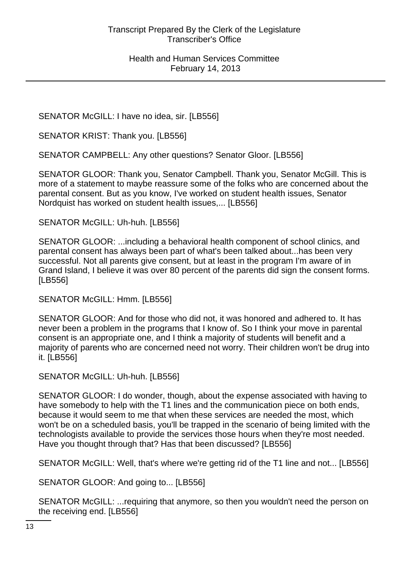SENATOR McGILL: I have no idea, sir. [LB556]

SENATOR KRIST: Thank you. [LB556]

SENATOR CAMPBELL: Any other questions? Senator Gloor. [LB556]

SENATOR GLOOR: Thank you, Senator Campbell. Thank you, Senator McGill. This is more of a statement to maybe reassure some of the folks who are concerned about the parental consent. But as you know, I've worked on student health issues, Senator Nordquist has worked on student health issues,... [LB556]

SENATOR McGILL: Uh-huh. [LB556]

SENATOR GLOOR: ...including a behavioral health component of school clinics, and parental consent has always been part of what's been talked about...has been very successful. Not all parents give consent, but at least in the program I'm aware of in Grand Island, I believe it was over 80 percent of the parents did sign the consent forms. [LB556]

SENATOR McGILL: Hmm. [LB556]

SENATOR GLOOR: And for those who did not, it was honored and adhered to. It has never been a problem in the programs that I know of. So I think your move in parental consent is an appropriate one, and I think a majority of students will benefit and a majority of parents who are concerned need not worry. Their children won't be drug into it. [LB556]

SENATOR McGILL: Uh-huh. [LB556]

SENATOR GLOOR: I do wonder, though, about the expense associated with having to have somebody to help with the T1 lines and the communication piece on both ends, because it would seem to me that when these services are needed the most, which won't be on a scheduled basis, you'll be trapped in the scenario of being limited with the technologists available to provide the services those hours when they're most needed. Have you thought through that? Has that been discussed? [LB556]

SENATOR McGILL: Well, that's where we're getting rid of the T1 line and not... [LB556]

SENATOR GLOOR: And going to... [LB556]

SENATOR McGILL: ...requiring that anymore, so then you wouldn't need the person on the receiving end. [LB556]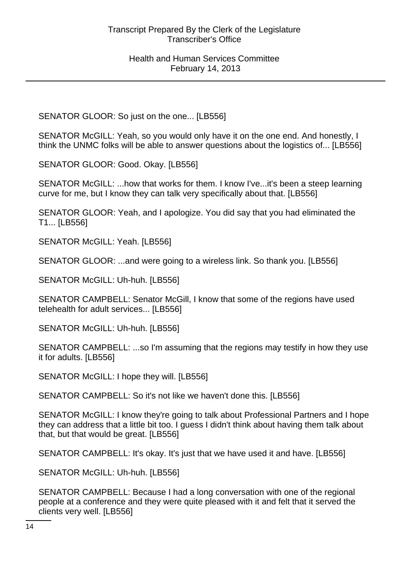SENATOR GLOOR: So just on the one... [LB556]

SENATOR McGILL: Yeah, so you would only have it on the one end. And honestly, I think the UNMC folks will be able to answer questions about the logistics of... [LB556]

SENATOR GLOOR: Good. Okay. [LB556]

SENATOR McGILL: ...how that works for them. I know I've...it's been a steep learning curve for me, but I know they can talk very specifically about that. [LB556]

SENATOR GLOOR: Yeah, and I apologize. You did say that you had eliminated the T1... [LB556]

SENATOR McGILL: Yeah. [LB556]

SENATOR GLOOR: ...and were going to a wireless link. So thank you. [LB556]

SENATOR McGILL: Uh-huh. [LB556]

SENATOR CAMPBELL: Senator McGill, I know that some of the regions have used telehealth for adult services... [LB556]

SENATOR McGILL: Uh-huh. [LB556]

SENATOR CAMPBELL: ...so I'm assuming that the regions may testify in how they use it for adults. [LB556]

SENATOR McGILL: I hope they will. [LB556]

SENATOR CAMPBELL: So it's not like we haven't done this. [LB556]

SENATOR McGILL: I know they're going to talk about Professional Partners and I hope they can address that a little bit too. I guess I didn't think about having them talk about that, but that would be great. [LB556]

SENATOR CAMPBELL: It's okay. It's just that we have used it and have. [LB556]

SENATOR McGILL: Uh-huh. [LB556]

SENATOR CAMPBELL: Because I had a long conversation with one of the regional people at a conference and they were quite pleased with it and felt that it served the clients very well. [LB556]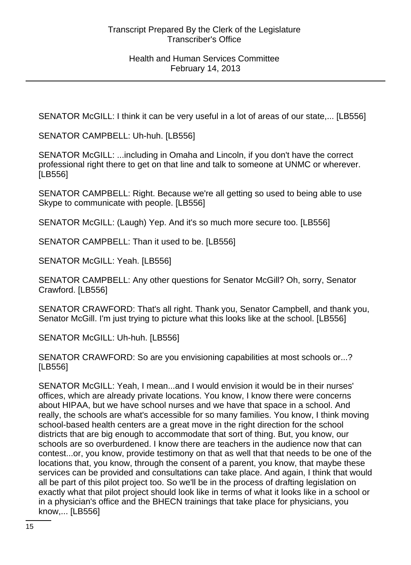SENATOR McGILL: I think it can be very useful in a lot of areas of our state,... [LB556]

SENATOR CAMPBELL: Uh-huh. [LB556]

SENATOR McGILL: ...including in Omaha and Lincoln, if you don't have the correct professional right there to get on that line and talk to someone at UNMC or wherever. [LB556]

SENATOR CAMPBELL: Right. Because we're all getting so used to being able to use Skype to communicate with people. [LB556]

SENATOR McGILL: (Laugh) Yep. And it's so much more secure too. [LB556]

SENATOR CAMPBELL: Than it used to be. [LB556]

SENATOR McGILL: Yeah. [LB556]

SENATOR CAMPBELL: Any other questions for Senator McGill? Oh, sorry, Senator Crawford. [LB556]

SENATOR CRAWFORD: That's all right. Thank you, Senator Campbell, and thank you, Senator McGill. I'm just trying to picture what this looks like at the school. [LB556]

SENATOR McGILL: Uh-huh. [LB556]

SENATOR CRAWFORD: So are you envisioning capabilities at most schools or...? [LB556]

SENATOR McGILL: Yeah, I mean...and I would envision it would be in their nurses' offices, which are already private locations. You know, I know there were concerns about HIPAA, but we have school nurses and we have that space in a school. And really, the schools are what's accessible for so many families. You know, I think moving school-based health centers are a great move in the right direction for the school districts that are big enough to accommodate that sort of thing. But, you know, our schools are so overburdened. I know there are teachers in the audience now that can contest...or, you know, provide testimony on that as well that that needs to be one of the locations that, you know, through the consent of a parent, you know, that maybe these services can be provided and consultations can take place. And again, I think that would all be part of this pilot project too. So we'll be in the process of drafting legislation on exactly what that pilot project should look like in terms of what it looks like in a school or in a physician's office and the BHECN trainings that take place for physicians, you know,... [LB556]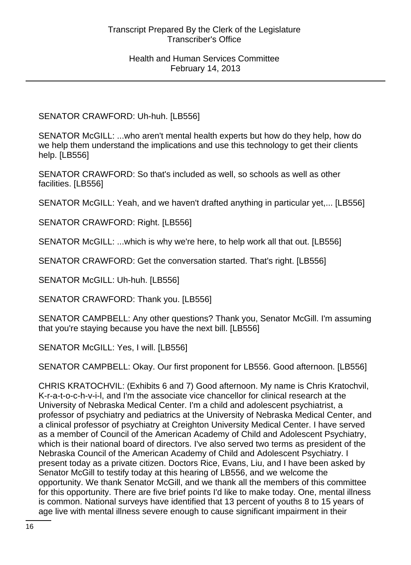# SENATOR CRAWFORD: Uh-huh. [LB556]

SENATOR McGILL: ...who aren't mental health experts but how do they help, how do we help them understand the implications and use this technology to get their clients help. [LB556]

SENATOR CRAWFORD: So that's included as well, so schools as well as other facilities. [LB556]

SENATOR McGILL: Yeah, and we haven't drafted anything in particular yet,... [LB556]

SENATOR CRAWFORD: Right. [LB556]

SENATOR McGILL: ...which is why we're here, to help work all that out. [LB556]

SENATOR CRAWFORD: Get the conversation started. That's right. [LB556]

SENATOR McGILL: Uh-huh. [LB556]

SENATOR CRAWFORD: Thank you. [LB556]

SENATOR CAMPBELL: Any other questions? Thank you, Senator McGill. I'm assuming that you're staying because you have the next bill. [LB556]

SENATOR McGILL: Yes, I will. [LB556]

SENATOR CAMPBELL: Okay. Our first proponent for LB556. Good afternoon. [LB556]

CHRIS KRATOCHVIL: (Exhibits 6 and 7) Good afternoon. My name is Chris Kratochvil, K-r-a-t-o-c-h-v-i-l, and I'm the associate vice chancellor for clinical research at the University of Nebraska Medical Center. I'm a child and adolescent psychiatrist, a professor of psychiatry and pediatrics at the University of Nebraska Medical Center, and a clinical professor of psychiatry at Creighton University Medical Center. I have served as a member of Council of the American Academy of Child and Adolescent Psychiatry, which is their national board of directors. I've also served two terms as president of the Nebraska Council of the American Academy of Child and Adolescent Psychiatry. I present today as a private citizen. Doctors Rice, Evans, Liu, and I have been asked by Senator McGill to testify today at this hearing of LB556, and we welcome the opportunity. We thank Senator McGill, and we thank all the members of this committee for this opportunity. There are five brief points I'd like to make today. One, mental illness is common. National surveys have identified that 13 percent of youths 8 to 15 years of age live with mental illness severe enough to cause significant impairment in their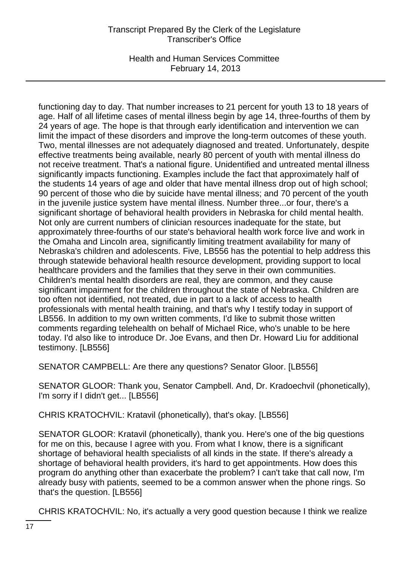Health and Human Services Committee February 14, 2013

functioning day to day. That number increases to 21 percent for youth 13 to 18 years of age. Half of all lifetime cases of mental illness begin by age 14, three-fourths of them by 24 years of age. The hope is that through early identification and intervention we can limit the impact of these disorders and improve the long-term outcomes of these youth. Two, mental illnesses are not adequately diagnosed and treated. Unfortunately, despite effective treatments being available, nearly 80 percent of youth with mental illness do not receive treatment. That's a national figure. Unidentified and untreated mental illness significantly impacts functioning. Examples include the fact that approximately half of the students 14 years of age and older that have mental illness drop out of high school; 90 percent of those who die by suicide have mental illness; and 70 percent of the youth in the juvenile justice system have mental illness. Number three...or four, there's a significant shortage of behavioral health providers in Nebraska for child mental health. Not only are current numbers of clinician resources inadequate for the state, but approximately three-fourths of our state's behavioral health work force live and work in the Omaha and Lincoln area, significantly limiting treatment availability for many of Nebraska's children and adolescents. Five, LB556 has the potential to help address this through statewide behavioral health resource development, providing support to local healthcare providers and the families that they serve in their own communities. Children's mental health disorders are real, they are common, and they cause significant impairment for the children throughout the state of Nebraska. Children are too often not identified, not treated, due in part to a lack of access to health professionals with mental health training, and that's why I testify today in support of LB556. In addition to my own written comments, I'd like to submit those written comments regarding telehealth on behalf of Michael Rice, who's unable to be here today. I'd also like to introduce Dr. Joe Evans, and then Dr. Howard Liu for additional testimony. [LB556]

SENATOR CAMPBELL: Are there any questions? Senator Gloor. [LB556]

SENATOR GLOOR: Thank you, Senator Campbell. And, Dr. Kradoechvil (phonetically), I'm sorry if I didn't get... [LB556]

CHRIS KRATOCHVIL: Kratavil (phonetically), that's okay. [LB556]

SENATOR GLOOR: Kratavil (phonetically), thank you. Here's one of the big questions for me on this, because I agree with you. From what I know, there is a significant shortage of behavioral health specialists of all kinds in the state. If there's already a shortage of behavioral health providers, it's hard to get appointments. How does this program do anything other than exacerbate the problem? I can't take that call now, I'm already busy with patients, seemed to be a common answer when the phone rings. So that's the question. [LB556]

CHRIS KRATOCHVIL: No, it's actually a very good question because I think we realize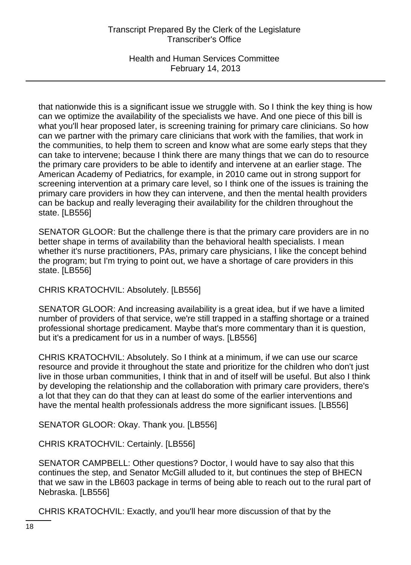Health and Human Services Committee February 14, 2013

that nationwide this is a significant issue we struggle with. So I think the key thing is how can we optimize the availability of the specialists we have. And one piece of this bill is what you'll hear proposed later, is screening training for primary care clinicians. So how can we partner with the primary care clinicians that work with the families, that work in the communities, to help them to screen and know what are some early steps that they can take to intervene; because I think there are many things that we can do to resource the primary care providers to be able to identify and intervene at an earlier stage. The American Academy of Pediatrics, for example, in 2010 came out in strong support for screening intervention at a primary care level, so I think one of the issues is training the primary care providers in how they can intervene, and then the mental health providers can be backup and really leveraging their availability for the children throughout the state. [LB556]

SENATOR GLOOR: But the challenge there is that the primary care providers are in no better shape in terms of availability than the behavioral health specialists. I mean whether it's nurse practitioners, PAs, primary care physicians, I like the concept behind the program; but I'm trying to point out, we have a shortage of care providers in this state. [LB556]

CHRIS KRATOCHVIL: Absolutely. [LB556]

SENATOR GLOOR: And increasing availability is a great idea, but if we have a limited number of providers of that service, we're still trapped in a staffing shortage or a trained professional shortage predicament. Maybe that's more commentary than it is question, but it's a predicament for us in a number of ways. [LB556]

CHRIS KRATOCHVIL: Absolutely. So I think at a minimum, if we can use our scarce resource and provide it throughout the state and prioritize for the children who don't just live in those urban communities, I think that in and of itself will be useful. But also I think by developing the relationship and the collaboration with primary care providers, there's a lot that they can do that they can at least do some of the earlier interventions and have the mental health professionals address the more significant issues. [LB556]

SENATOR GLOOR: Okay. Thank you. [LB556]

CHRIS KRATOCHVIL: Certainly. [LB556]

SENATOR CAMPBELL: Other questions? Doctor, I would have to say also that this continues the step, and Senator McGill alluded to it, but continues the step of BHECN that we saw in the LB603 package in terms of being able to reach out to the rural part of Nebraska. [LB556]

CHRIS KRATOCHVIL: Exactly, and you'll hear more discussion of that by the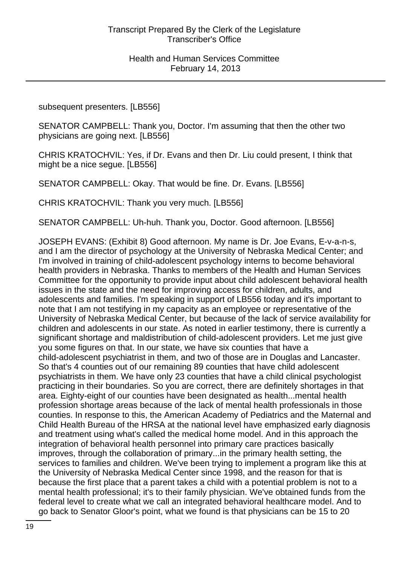subsequent presenters. [LB556]

SENATOR CAMPBELL: Thank you, Doctor. I'm assuming that then the other two physicians are going next. [LB556]

CHRIS KRATOCHVIL: Yes, if Dr. Evans and then Dr. Liu could present, I think that might be a nice segue. [LB556]

SENATOR CAMPBELL: Okay. That would be fine. Dr. Evans. [LB556]

CHRIS KRATOCHVIL: Thank you very much. [LB556]

SENATOR CAMPBELL: Uh-huh. Thank you, Doctor. Good afternoon. [LB556]

JOSEPH EVANS: (Exhibit 8) Good afternoon. My name is Dr. Joe Evans, E-v-a-n-s, and I am the director of psychology at the University of Nebraska Medical Center; and I'm involved in training of child-adolescent psychology interns to become behavioral health providers in Nebraska. Thanks to members of the Health and Human Services Committee for the opportunity to provide input about child adolescent behavioral health issues in the state and the need for improving access for children, adults, and adolescents and families. I'm speaking in support of LB556 today and it's important to note that I am not testifying in my capacity as an employee or representative of the University of Nebraska Medical Center, but because of the lack of service availability for children and adolescents in our state. As noted in earlier testimony, there is currently a significant shortage and maldistribution of child-adolescent providers. Let me just give you some figures on that. In our state, we have six counties that have a child-adolescent psychiatrist in them, and two of those are in Douglas and Lancaster. So that's 4 counties out of our remaining 89 counties that have child adolescent psychiatrists in them. We have only 23 counties that have a child clinical psychologist practicing in their boundaries. So you are correct, there are definitely shortages in that area. Eighty-eight of our counties have been designated as health...mental health profession shortage areas because of the lack of mental health professionals in those counties. In response to this, the American Academy of Pediatrics and the Maternal and Child Health Bureau of the HRSA at the national level have emphasized early diagnosis and treatment using what's called the medical home model. And in this approach the integration of behavioral health personnel into primary care practices basically improves, through the collaboration of primary...in the primary health setting, the services to families and children. We've been trying to implement a program like this at the University of Nebraska Medical Center since 1998, and the reason for that is because the first place that a parent takes a child with a potential problem is not to a mental health professional; it's to their family physician. We've obtained funds from the federal level to create what we call an integrated behavioral healthcare model. And to go back to Senator Gloor's point, what we found is that physicians can be 15 to 20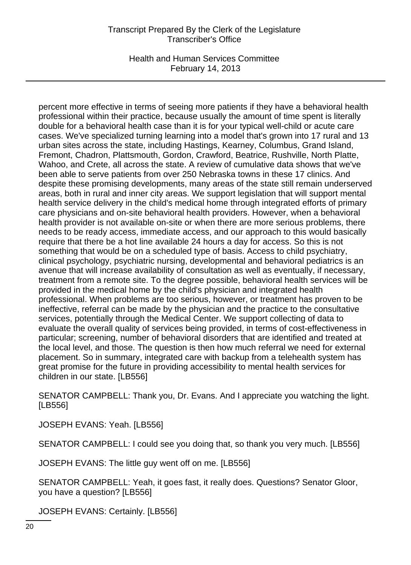Health and Human Services Committee February 14, 2013

percent more effective in terms of seeing more patients if they have a behavioral health professional within their practice, because usually the amount of time spent is literally double for a behavioral health case than it is for your typical well-child or acute care cases. We've specialized turning learning into a model that's grown into 17 rural and 13 urban sites across the state, including Hastings, Kearney, Columbus, Grand Island, Fremont, Chadron, Plattsmouth, Gordon, Crawford, Beatrice, Rushville, North Platte, Wahoo, and Crete, all across the state. A review of cumulative data shows that we've been able to serve patients from over 250 Nebraska towns in these 17 clinics. And despite these promising developments, many areas of the state still remain underserved areas, both in rural and inner city areas. We support legislation that will support mental health service delivery in the child's medical home through integrated efforts of primary care physicians and on-site behavioral health providers. However, when a behavioral health provider is not available on-site or when there are more serious problems, there needs to be ready access, immediate access, and our approach to this would basically require that there be a hot line available 24 hours a day for access. So this is not something that would be on a scheduled type of basis. Access to child psychiatry, clinical psychology, psychiatric nursing, developmental and behavioral pediatrics is an avenue that will increase availability of consultation as well as eventually, if necessary, treatment from a remote site. To the degree possible, behavioral health services will be provided in the medical home by the child's physician and integrated health professional. When problems are too serious, however, or treatment has proven to be ineffective, referral can be made by the physician and the practice to the consultative services, potentially through the Medical Center. We support collecting of data to evaluate the overall quality of services being provided, in terms of cost-effectiveness in particular; screening, number of behavioral disorders that are identified and treated at the local level, and those. The question is then how much referral we need for external placement. So in summary, integrated care with backup from a telehealth system has great promise for the future in providing accessibility to mental health services for children in our state. [LB556]

SENATOR CAMPBELL: Thank you, Dr. Evans. And I appreciate you watching the light. [LB556]

JOSEPH EVANS: Yeah. [LB556]

SENATOR CAMPBELL: I could see you doing that, so thank you very much. [LB556]

JOSEPH EVANS: The little guy went off on me. [LB556]

SENATOR CAMPBELL: Yeah, it goes fast, it really does. Questions? Senator Gloor, you have a question? [LB556]

JOSEPH EVANS: Certainly. [LB556]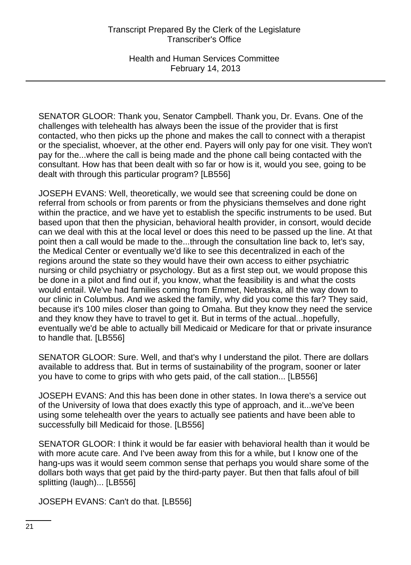Health and Human Services Committee February 14, 2013

SENATOR GLOOR: Thank you, Senator Campbell. Thank you, Dr. Evans. One of the challenges with telehealth has always been the issue of the provider that is first contacted, who then picks up the phone and makes the call to connect with a therapist or the specialist, whoever, at the other end. Payers will only pay for one visit. They won't pay for the...where the call is being made and the phone call being contacted with the consultant. How has that been dealt with so far or how is it, would you see, going to be dealt with through this particular program? [LB556]

JOSEPH EVANS: Well, theoretically, we would see that screening could be done on referral from schools or from parents or from the physicians themselves and done right within the practice, and we have yet to establish the specific instruments to be used. But based upon that then the physician, behavioral health provider, in consort, would decide can we deal with this at the local level or does this need to be passed up the line. At that point then a call would be made to the...through the consultation line back to, let's say, the Medical Center or eventually we'd like to see this decentralized in each of the regions around the state so they would have their own access to either psychiatric nursing or child psychiatry or psychology. But as a first step out, we would propose this be done in a pilot and find out if, you know, what the feasibility is and what the costs would entail. We've had families coming from Emmet, Nebraska, all the way down to our clinic in Columbus. And we asked the family, why did you come this far? They said, because it's 100 miles closer than going to Omaha. But they know they need the service and they know they have to travel to get it. But in terms of the actual...hopefully, eventually we'd be able to actually bill Medicaid or Medicare for that or private insurance to handle that. [LB556]

SENATOR GLOOR: Sure. Well, and that's why I understand the pilot. There are dollars available to address that. But in terms of sustainability of the program, sooner or later you have to come to grips with who gets paid, of the call station... [LB556]

JOSEPH EVANS: And this has been done in other states. In Iowa there's a service out of the University of Iowa that does exactly this type of approach, and it...we've been using some telehealth over the years to actually see patients and have been able to successfully bill Medicaid for those. [LB556]

SENATOR GLOOR: I think it would be far easier with behavioral health than it would be with more acute care. And I've been away from this for a while, but I know one of the hang-ups was it would seem common sense that perhaps you would share some of the dollars both ways that get paid by the third-party payer. But then that falls afoul of bill splitting (laugh)... [LB556]

JOSEPH EVANS: Can't do that. [LB556]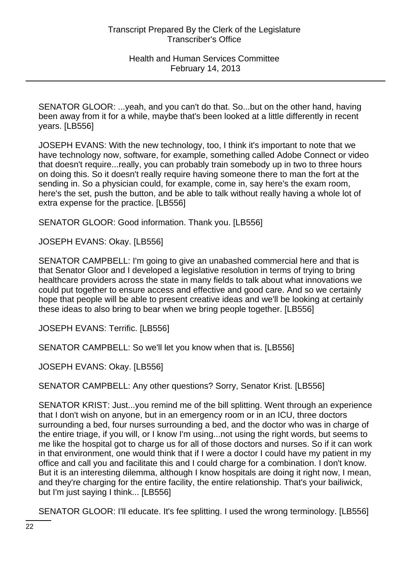SENATOR GLOOR: ...yeah, and you can't do that. So...but on the other hand, having been away from it for a while, maybe that's been looked at a little differently in recent years. [LB556]

JOSEPH EVANS: With the new technology, too, I think it's important to note that we have technology now, software, for example, something called Adobe Connect or video that doesn't require...really, you can probably train somebody up in two to three hours on doing this. So it doesn't really require having someone there to man the fort at the sending in. So a physician could, for example, come in, say here's the exam room, here's the set, push the button, and be able to talk without really having a whole lot of extra expense for the practice. [LB556]

SENATOR GLOOR: Good information. Thank you. [LB556]

JOSEPH EVANS: Okay. [LB556]

SENATOR CAMPBELL: I'm going to give an unabashed commercial here and that is that Senator Gloor and I developed a legislative resolution in terms of trying to bring healthcare providers across the state in many fields to talk about what innovations we could put together to ensure access and effective and good care. And so we certainly hope that people will be able to present creative ideas and we'll be looking at certainly these ideas to also bring to bear when we bring people together. [LB556]

JOSEPH EVANS: Terrific. [LB556]

SENATOR CAMPBELL: So we'll let you know when that is. [LB556]

JOSEPH EVANS: Okay. [LB556]

SENATOR CAMPBELL: Any other questions? Sorry, Senator Krist. [LB556]

SENATOR KRIST: Just...you remind me of the bill splitting. Went through an experience that I don't wish on anyone, but in an emergency room or in an ICU, three doctors surrounding a bed, four nurses surrounding a bed, and the doctor who was in charge of the entire triage, if you will, or I know I'm using...not using the right words, but seems to me like the hospital got to charge us for all of those doctors and nurses. So if it can work in that environment, one would think that if I were a doctor I could have my patient in my office and call you and facilitate this and I could charge for a combination. I don't know. But it is an interesting dilemma, although I know hospitals are doing it right now, I mean, and they're charging for the entire facility, the entire relationship. That's your bailiwick, but I'm just saying I think... [LB556]

SENATOR GLOOR: I'll educate. It's fee splitting. I used the wrong terminology. [LB556]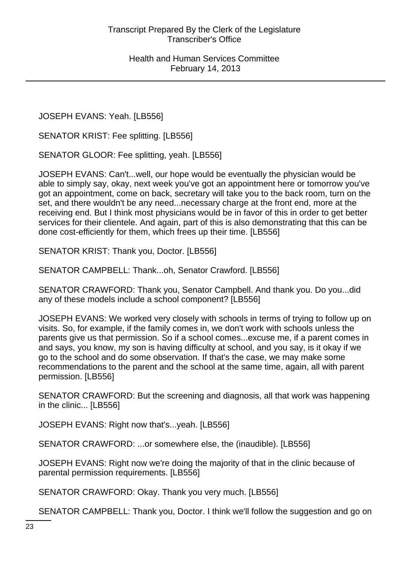JOSEPH EVANS: Yeah. [LB556]

SENATOR KRIST: Fee splitting. [LB556]

SENATOR GLOOR: Fee splitting, yeah. [LB556]

JOSEPH EVANS: Can't...well, our hope would be eventually the physician would be able to simply say, okay, next week you've got an appointment here or tomorrow you've got an appointment, come on back, secretary will take you to the back room, turn on the set, and there wouldn't be any need...necessary charge at the front end, more at the receiving end. But I think most physicians would be in favor of this in order to get better services for their clientele. And again, part of this is also demonstrating that this can be done cost-efficiently for them, which frees up their time. [LB556]

SENATOR KRIST: Thank you, Doctor. [LB556]

SENATOR CAMPBELL: Thank...oh, Senator Crawford. [LB556]

SENATOR CRAWFORD: Thank you, Senator Campbell. And thank you. Do you...did any of these models include a school component? [LB556]

JOSEPH EVANS: We worked very closely with schools in terms of trying to follow up on visits. So, for example, if the family comes in, we don't work with schools unless the parents give us that permission. So if a school comes...excuse me, if a parent comes in and says, you know, my son is having difficulty at school, and you say, is it okay if we go to the school and do some observation. If that's the case, we may make some recommendations to the parent and the school at the same time, again, all with parent permission. [LB556]

SENATOR CRAWFORD: But the screening and diagnosis, all that work was happening in the clinic... [LB556]

JOSEPH EVANS: Right now that's...yeah. [LB556]

SENATOR CRAWFORD: ...or somewhere else, the (inaudible). [LB556]

JOSEPH EVANS: Right now we're doing the majority of that in the clinic because of parental permission requirements. [LB556]

SENATOR CRAWFORD: Okay. Thank you very much. [LB556]

SENATOR CAMPBELL: Thank you, Doctor. I think we'll follow the suggestion and go on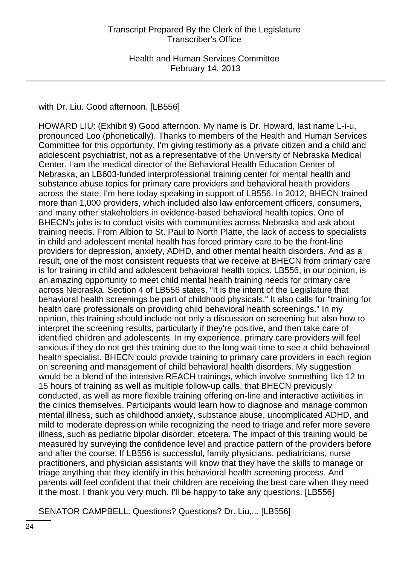with Dr. Liu. Good afternoon. [LB556]

HOWARD LIU: (Exhibit 9) Good afternoon. My name is Dr. Howard, last name L-i-u, pronounced Loo (phonetically). Thanks to members of the Health and Human Services Committee for this opportunity. I'm giving testimony as a private citizen and a child and adolescent psychiatrist, not as a representative of the University of Nebraska Medical Center. I am the medical director of the Behavioral Health Education Center of Nebraska, an LB603-funded interprofessional training center for mental health and substance abuse topics for primary care providers and behavioral health providers across the state. I'm here today speaking in support of LB556. In 2012, BHECN trained more than 1,000 providers, which included also law enforcement officers, consumers, and many other stakeholders in evidence-based behavioral health topics. One of BHECN's jobs is to conduct visits with communities across Nebraska and ask about training needs. From Albion to St. Paul to North Platte, the lack of access to specialists in child and adolescent mental health has forced primary care to be the front-line providers for depression, anxiety, ADHD, and other mental health disorders. And as a result, one of the most consistent requests that we receive at BHECN from primary care is for training in child and adolescent behavioral health topics. LB556, in our opinion, is an amazing opportunity to meet child mental health training needs for primary care across Nebraska. Section 4 of LB556 states, "It is the intent of the Legislature that behavioral health screenings be part of childhood physicals." It also calls for "training for health care professionals on providing child behavioral health screenings." In my opinion, this training should include not only a discussion on screening but also how to interpret the screening results, particularly if they're positive, and then take care of identified children and adolescents. In my experience, primary care providers will feel anxious if they do not get this training due to the long wait time to see a child behavioral health specialist. BHECN could provide training to primary care providers in each region on screening and management of child behavioral health disorders. My suggestion would be a blend of the intensive REACH trainings, which involve something like 12 to 15 hours of training as well as multiple follow-up calls, that BHECN previously conducted, as well as more flexible training offering on-line and interactive activities in the clinics themselves. Participants would learn how to diagnose and manage common mental illness, such as childhood anxiety, substance abuse, uncomplicated ADHD, and mild to moderate depression while recognizing the need to triage and refer more severe illness, such as pediatric bipolar disorder, etcetera. The impact of this training would be measured by surveying the confidence level and practice pattern of the providers before and after the course. If LB556 is successful, family physicians, pediatricians, nurse practitioners, and physician assistants will know that they have the skills to manage or triage anything that they identify in this behavioral health screening process. And parents will feel confident that their children are receiving the best care when they need it the most. I thank you very much. I'll be happy to take any questions. [LB556]

SENATOR CAMPBELL: Questions? Questions? Dr. Liu,... [LB556]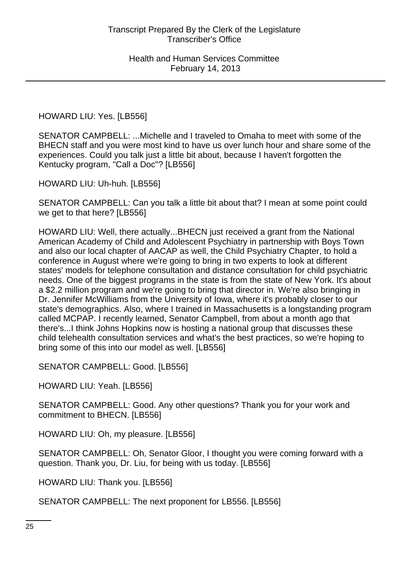# HOWARD LIU: Yes. [LB556]

SENATOR CAMPBELL: ...Michelle and I traveled to Omaha to meet with some of the BHECN staff and you were most kind to have us over lunch hour and share some of the experiences. Could you talk just a little bit about, because I haven't forgotten the Kentucky program, "Call a Doc"? [LB556]

HOWARD LIU: Uh-huh. [LB556]

SENATOR CAMPBELL: Can you talk a little bit about that? I mean at some point could we get to that here? [LB556]

HOWARD LIU: Well, there actually...BHECN just received a grant from the National American Academy of Child and Adolescent Psychiatry in partnership with Boys Town and also our local chapter of AACAP as well, the Child Psychiatry Chapter, to hold a conference in August where we're going to bring in two experts to look at different states' models for telephone consultation and distance consultation for child psychiatric needs. One of the biggest programs in the state is from the state of New York. It's about a \$2.2 million program and we're going to bring that director in. We're also bringing in Dr. Jennifer McWilliams from the University of Iowa, where it's probably closer to our state's demographics. Also, where I trained in Massachusetts is a longstanding program called MCPAP. I recently learned, Senator Campbell, from about a month ago that there's...I think Johns Hopkins now is hosting a national group that discusses these child telehealth consultation services and what's the best practices, so we're hoping to bring some of this into our model as well. [LB556]

SENATOR CAMPBELL: Good. [LB556]

HOWARD LIU: Yeah. [LB556]

SENATOR CAMPBELL: Good. Any other questions? Thank you for your work and commitment to BHECN. [LB556]

HOWARD LIU: Oh, my pleasure. [LB556]

SENATOR CAMPBELL: Oh, Senator Gloor, I thought you were coming forward with a question. Thank you, Dr. Liu, for being with us today. [LB556]

HOWARD LIU: Thank you. [LB556]

SENATOR CAMPBELL: The next proponent for LB556. [LB556]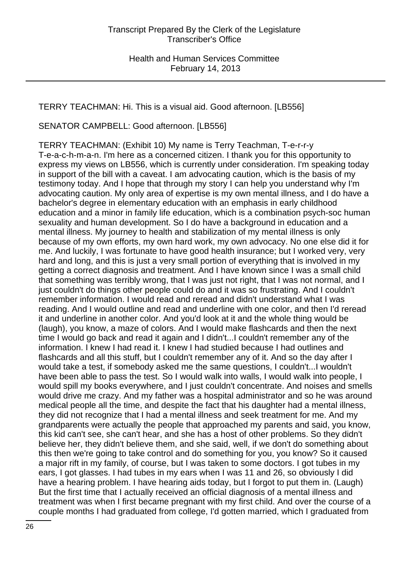#### TERRY TEACHMAN: Hi. This is a visual aid. Good afternoon. [LB556]

SENATOR CAMPBELL: Good afternoon. [LB556]

TERRY TEACHMAN: (Exhibit 10) My name is Terry Teachman, T-e-r-r-y T-e-a-c-h-m-a-n. I'm here as a concerned citizen. I thank you for this opportunity to express my views on LB556, which is currently under consideration. I'm speaking today in support of the bill with a caveat. I am advocating caution, which is the basis of my testimony today. And I hope that through my story I can help you understand why I'm advocating caution. My only area of expertise is my own mental illness, and I do have a bachelor's degree in elementary education with an emphasis in early childhood education and a minor in family life education, which is a combination psych-soc human sexuality and human development. So I do have a background in education and a mental illness. My journey to health and stabilization of my mental illness is only because of my own efforts, my own hard work, my own advocacy. No one else did it for me. And luckily, I was fortunate to have good health insurance; but I worked very, very hard and long, and this is just a very small portion of everything that is involved in my getting a correct diagnosis and treatment. And I have known since I was a small child that something was terribly wrong, that I was just not right, that I was not normal, and I just couldn't do things other people could do and it was so frustrating. And I couldn't remember information. I would read and reread and didn't understand what I was reading. And I would outline and read and underline with one color, and then I'd reread it and underline in another color. And you'd look at it and the whole thing would be (laugh), you know, a maze of colors. And I would make flashcards and then the next time I would go back and read it again and I didn't...I couldn't remember any of the information. I knew I had read it. I knew I had studied because I had outlines and flashcards and all this stuff, but I couldn't remember any of it. And so the day after I would take a test, if somebody asked me the same questions, I couldn't...I wouldn't have been able to pass the test. So I would walk into walls, I would walk into people, I would spill my books everywhere, and I just couldn't concentrate. And noises and smells would drive me crazy. And my father was a hospital administrator and so he was around medical people all the time, and despite the fact that his daughter had a mental illness, they did not recognize that I had a mental illness and seek treatment for me. And my grandparents were actually the people that approached my parents and said, you know, this kid can't see, she can't hear, and she has a host of other problems. So they didn't believe her, they didn't believe them, and she said, well, if we don't do something about this then we're going to take control and do something for you, you know? So it caused a major rift in my family, of course, but I was taken to some doctors. I got tubes in my ears, I got glasses. I had tubes in my ears when I was 11 and 26, so obviously I did have a hearing problem. I have hearing aids today, but I forgot to put them in. (Laugh) But the first time that I actually received an official diagnosis of a mental illness and treatment was when I first became pregnant with my first child. And over the course of a couple months I had graduated from college, I'd gotten married, which I graduated from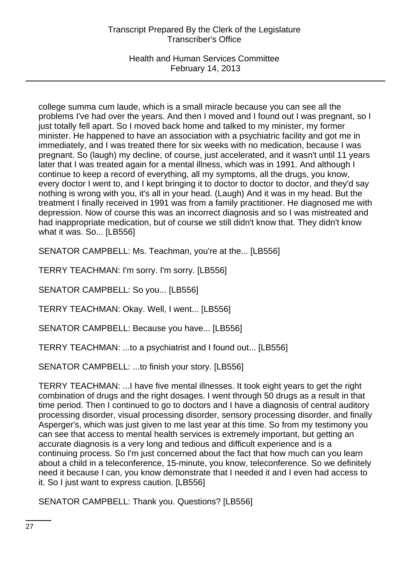Health and Human Services Committee February 14, 2013

college summa cum laude, which is a small miracle because you can see all the problems I've had over the years. And then I moved and I found out I was pregnant, so I just totally fell apart. So I moved back home and talked to my minister, my former minister. He happened to have an association with a psychiatric facility and got me in immediately, and I was treated there for six weeks with no medication, because I was pregnant. So (laugh) my decline, of course, just accelerated, and it wasn't until 11 years later that I was treated again for a mental illness, which was in 1991. And although I continue to keep a record of everything, all my symptoms, all the drugs, you know, every doctor I went to, and I kept bringing it to doctor to doctor to doctor, and they'd say nothing is wrong with you, it's all in your head. (Laugh) And it was in my head. But the treatment I finally received in 1991 was from a family practitioner. He diagnosed me with depression. Now of course this was an incorrect diagnosis and so I was mistreated and had inappropriate medication, but of course we still didn't know that. They didn't know what it was. So... [LB556]

SENATOR CAMPBELL: Ms. Teachman, you're at the... [LB556]

TERRY TEACHMAN: I'm sorry. I'm sorry. [LB556]

SENATOR CAMPBELL: So you... [LB556]

TERRY TEACHMAN: Okay. Well, I went... [LB556]

SENATOR CAMPBELL: Because you have... [LB556]

TERRY TEACHMAN: ...to a psychiatrist and I found out... [LB556]

SENATOR CAMPBELL: ...to finish your story. [LB556]

TERRY TEACHMAN: ...I have five mental illnesses. It took eight years to get the right combination of drugs and the right dosages. I went through 50 drugs as a result in that time period. Then I continued to go to doctors and I have a diagnosis of central auditory processing disorder, visual processing disorder, sensory processing disorder, and finally Asperger's, which was just given to me last year at this time. So from my testimony you can see that access to mental health services is extremely important, but getting an accurate diagnosis is a very long and tedious and difficult experience and is a continuing process. So I'm just concerned about the fact that how much can you learn about a child in a teleconference, 15-minute, you know, teleconference. So we definitely need it because I can, you know demonstrate that I needed it and I even had access to it. So I just want to express caution. [LB556]

SENATOR CAMPBELL: Thank you. Questions? [LB556]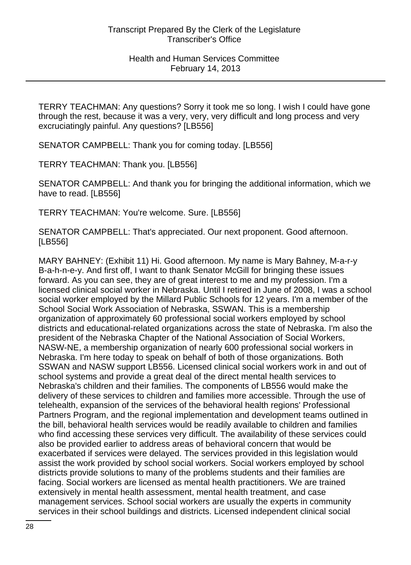TERRY TEACHMAN: Any questions? Sorry it took me so long. I wish I could have gone through the rest, because it was a very, very, very difficult and long process and very excruciatingly painful. Any questions? [LB556]

SENATOR CAMPBELL: Thank you for coming today. [LB556]

TERRY TEACHMAN: Thank you. [LB556]

SENATOR CAMPBELL: And thank you for bringing the additional information, which we have to read. [LB556]

TERRY TEACHMAN: You're welcome. Sure. [LB556]

SENATOR CAMPBELL: That's appreciated. Our next proponent. Good afternoon. [LB556]

MARY BAHNEY: (Exhibit 11) Hi. Good afternoon. My name is Mary Bahney, M-a-r-y B-a-h-n-e-y. And first off, I want to thank Senator McGill for bringing these issues forward. As you can see, they are of great interest to me and my profession. I'm a licensed clinical social worker in Nebraska. Until I retired in June of 2008, I was a school social worker employed by the Millard Public Schools for 12 years. I'm a member of the School Social Work Association of Nebraska, SSWAN. This is a membership organization of approximately 60 professional social workers employed by school districts and educational-related organizations across the state of Nebraska. I'm also the president of the Nebraska Chapter of the National Association of Social Workers, NASW-NE, a membership organization of nearly 600 professional social workers in Nebraska. I'm here today to speak on behalf of both of those organizations. Both SSWAN and NASW support LB556. Licensed clinical social workers work in and out of school systems and provide a great deal of the direct mental health services to Nebraska's children and their families. The components of LB556 would make the delivery of these services to children and families more accessible. Through the use of telehealth, expansion of the services of the behavioral health regions' Professional Partners Program, and the regional implementation and development teams outlined in the bill, behavioral health services would be readily available to children and families who find accessing these services very difficult. The availability of these services could also be provided earlier to address areas of behavioral concern that would be exacerbated if services were delayed. The services provided in this legislation would assist the work provided by school social workers. Social workers employed by school districts provide solutions to many of the problems students and their families are facing. Social workers are licensed as mental health practitioners. We are trained extensively in mental health assessment, mental health treatment, and case management services. School social workers are usually the experts in community services in their school buildings and districts. Licensed independent clinical social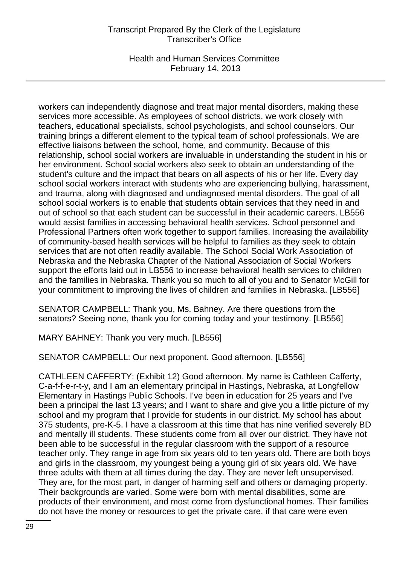Health and Human Services Committee February 14, 2013

workers can independently diagnose and treat major mental disorders, making these services more accessible. As employees of school districts, we work closely with teachers, educational specialists, school psychologists, and school counselors. Our training brings a different element to the typical team of school professionals. We are effective liaisons between the school, home, and community. Because of this relationship, school social workers are invaluable in understanding the student in his or her environment. School social workers also seek to obtain an understanding of the student's culture and the impact that bears on all aspects of his or her life. Every day school social workers interact with students who are experiencing bullying, harassment, and trauma, along with diagnosed and undiagnosed mental disorders. The goal of all school social workers is to enable that students obtain services that they need in and out of school so that each student can be successful in their academic careers. LB556 would assist families in accessing behavioral health services. School personnel and Professional Partners often work together to support families. Increasing the availability of community-based health services will be helpful to families as they seek to obtain services that are not often readily available. The School Social Work Association of Nebraska and the Nebraska Chapter of the National Association of Social Workers support the efforts laid out in LB556 to increase behavioral health services to children and the families in Nebraska. Thank you so much to all of you and to Senator McGill for your commitment to improving the lives of children and families in Nebraska. [LB556]

SENATOR CAMPBELL: Thank you, Ms. Bahney. Are there questions from the senators? Seeing none, thank you for coming today and your testimony. [LB556]

MARY BAHNEY: Thank you very much. [LB556]

SENATOR CAMPBELL: Our next proponent. Good afternoon. [LB556]

CATHLEEN CAFFERTY: (Exhibit 12) Good afternoon. My name is Cathleen Cafferty, C-a-f-f-e-r-t-y, and I am an elementary principal in Hastings, Nebraska, at Longfellow Elementary in Hastings Public Schools. I've been in education for 25 years and I've been a principal the last 13 years; and I want to share and give you a little picture of my school and my program that I provide for students in our district. My school has about 375 students, pre-K-5. I have a classroom at this time that has nine verified severely BD and mentally ill students. These students come from all over our district. They have not been able to be successful in the regular classroom with the support of a resource teacher only. They range in age from six years old to ten years old. There are both boys and girls in the classroom, my youngest being a young girl of six years old. We have three adults with them at all times during the day. They are never left unsupervised. They are, for the most part, in danger of harming self and others or damaging property. Their backgrounds are varied. Some were born with mental disabilities, some are products of their environment, and most come from dysfunctional homes. Their families do not have the money or resources to get the private care, if that care were even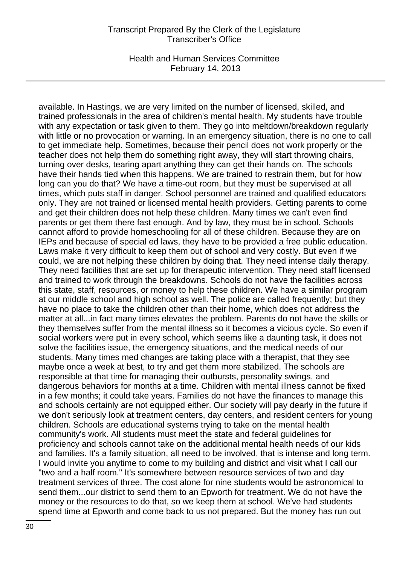Health and Human Services Committee February 14, 2013

available. In Hastings, we are very limited on the number of licensed, skilled, and trained professionals in the area of children's mental health. My students have trouble with any expectation or task given to them. They go into meltdown/breakdown regularly with little or no provocation or warning. In an emergency situation, there is no one to call to get immediate help. Sometimes, because their pencil does not work properly or the teacher does not help them do something right away, they will start throwing chairs, turning over desks, tearing apart anything they can get their hands on. The schools have their hands tied when this happens. We are trained to restrain them, but for how long can you do that? We have a time-out room, but they must be supervised at all times, which puts staff in danger. School personnel are trained and qualified educators only. They are not trained or licensed mental health providers. Getting parents to come and get their children does not help these children. Many times we can't even find parents or get them there fast enough. And by law, they must be in school. Schools cannot afford to provide homeschooling for all of these children. Because they are on IEPs and because of special ed laws, they have to be provided a free public education. Laws make it very difficult to keep them out of school and very costly. But even if we could, we are not helping these children by doing that. They need intense daily therapy. They need facilities that are set up for therapeutic intervention. They need staff licensed and trained to work through the breakdowns. Schools do not have the facilities across this state, staff, resources, or money to help these children. We have a similar program at our middle school and high school as well. The police are called frequently; but they have no place to take the children other than their home, which does not address the matter at all...in fact many times elevates the problem. Parents do not have the skills or they themselves suffer from the mental illness so it becomes a vicious cycle. So even if social workers were put in every school, which seems like a daunting task, it does not solve the facilities issue, the emergency situations, and the medical needs of our students. Many times med changes are taking place with a therapist, that they see maybe once a week at best, to try and get them more stabilized. The schools are responsible at that time for managing their outbursts, personality swings, and dangerous behaviors for months at a time. Children with mental illness cannot be fixed in a few months; it could take years. Families do not have the finances to manage this and schools certainly are not equipped either. Our society will pay dearly in the future if we don't seriously look at treatment centers, day centers, and resident centers for young children. Schools are educational systems trying to take on the mental health community's work. All students must meet the state and federal guidelines for proficiency and schools cannot take on the additional mental health needs of our kids and families. It's a family situation, all need to be involved, that is intense and long term. I would invite you anytime to come to my building and district and visit what I call our "two and a half room." It's somewhere between resource services of two and day treatment services of three. The cost alone for nine students would be astronomical to send them...our district to send them to an Epworth for treatment. We do not have the money or the resources to do that, so we keep them at school. We've had students spend time at Epworth and come back to us not prepared. But the money has run out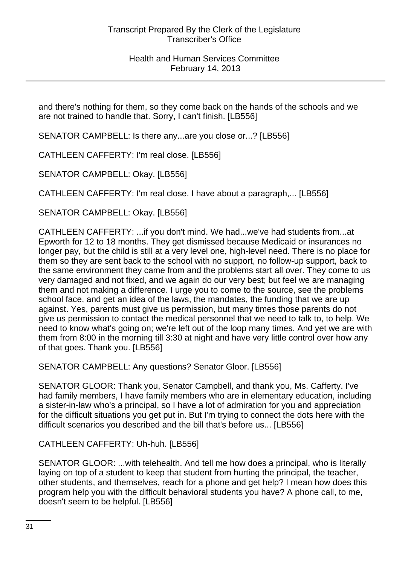and there's nothing for them, so they come back on the hands of the schools and we are not trained to handle that. Sorry, I can't finish. [LB556]

SENATOR CAMPBELL: Is there any...are you close or...? [LB556]

CATHLEEN CAFFERTY: I'm real close. [LB556]

SENATOR CAMPBELL: Okay. [LB556]

CATHLEEN CAFFERTY: I'm real close. I have about a paragraph,... [LB556]

SENATOR CAMPBELL: Okay. [LB556]

CATHLEEN CAFFERTY: ...if you don't mind. We had...we've had students from...at Epworth for 12 to 18 months. They get dismissed because Medicaid or insurances no longer pay, but the child is still at a very level one, high-level need. There is no place for them so they are sent back to the school with no support, no follow-up support, back to the same environment they came from and the problems start all over. They come to us very damaged and not fixed, and we again do our very best; but feel we are managing them and not making a difference. I urge you to come to the source, see the problems school face, and get an idea of the laws, the mandates, the funding that we are up against. Yes, parents must give us permission, but many times those parents do not give us permission to contact the medical personnel that we need to talk to, to help. We need to know what's going on; we're left out of the loop many times. And yet we are with them from 8:00 in the morning till 3:30 at night and have very little control over how any of that goes. Thank you. [LB556]

SENATOR CAMPBELL: Any questions? Senator Gloor. [LB556]

SENATOR GLOOR: Thank you, Senator Campbell, and thank you, Ms. Cafferty. I've had family members, I have family members who are in elementary education, including a sister-in-law who's a principal, so I have a lot of admiration for you and appreciation for the difficult situations you get put in. But I'm trying to connect the dots here with the difficult scenarios you described and the bill that's before us... [LB556]

CATHLEEN CAFFERTY: Uh-huh. [LB556]

SENATOR GLOOR: ...with telehealth. And tell me how does a principal, who is literally laying on top of a student to keep that student from hurting the principal, the teacher, other students, and themselves, reach for a phone and get help? I mean how does this program help you with the difficult behavioral students you have? A phone call, to me, doesn't seem to be helpful. [LB556]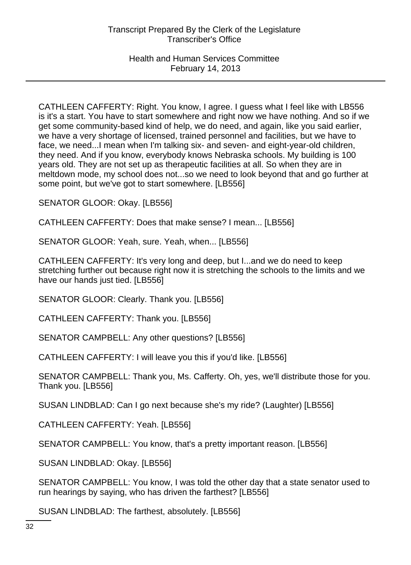CATHLEEN CAFFERTY: Right. You know, I agree. I guess what I feel like with LB556 is it's a start. You have to start somewhere and right now we have nothing. And so if we get some community-based kind of help, we do need, and again, like you said earlier, we have a very shortage of licensed, trained personnel and facilities, but we have to face, we need...I mean when I'm talking six- and seven- and eight-year-old children, they need. And if you know, everybody knows Nebraska schools. My building is 100 years old. They are not set up as therapeutic facilities at all. So when they are in meltdown mode, my school does not...so we need to look beyond that and go further at some point, but we've got to start somewhere. [LB556]

SENATOR GLOOR: Okay. [LB556]

CATHLEEN CAFFERTY: Does that make sense? I mean... [LB556]

SENATOR GLOOR: Yeah, sure. Yeah, when... [LB556]

CATHLEEN CAFFERTY: It's very long and deep, but I...and we do need to keep stretching further out because right now it is stretching the schools to the limits and we have our hands just tied. [LB556]

SENATOR GLOOR: Clearly. Thank you. [LB556]

CATHLEEN CAFFERTY: Thank you. [LB556]

SENATOR CAMPBELL: Any other questions? [LB556]

CATHLEEN CAFFERTY: I will leave you this if you'd like. [LB556]

SENATOR CAMPBELL: Thank you, Ms. Cafferty. Oh, yes, we'll distribute those for you. Thank you. [LB556]

SUSAN LINDBLAD: Can I go next because she's my ride? (Laughter) [LB556]

CATHLEEN CAFFERTY: Yeah. [LB556]

SENATOR CAMPBELL: You know, that's a pretty important reason. [LB556]

SUSAN LINDBLAD: Okay. [LB556]

SENATOR CAMPBELL: You know, I was told the other day that a state senator used to run hearings by saying, who has driven the farthest? [LB556]

SUSAN LINDBLAD: The farthest, absolutely. [LB556]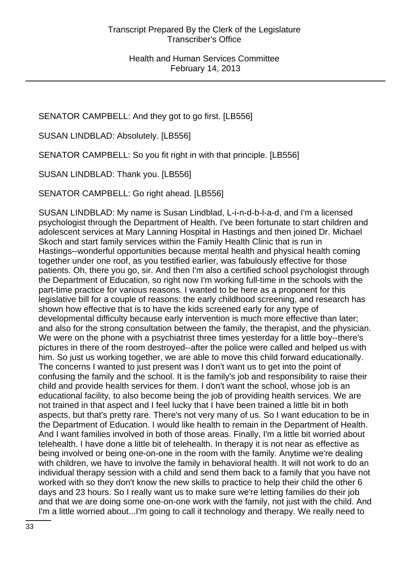SENATOR CAMPBELL: And they got to go first. [LB556]

SUSAN LINDBLAD: Absolutely. [LB556]

SENATOR CAMPBELL: So you fit right in with that principle. [LB556]

SUSAN LINDBLAD: Thank you. [LB556]

SENATOR CAMPBELL: Go right ahead. [LB556]

SUSAN LINDBLAD: My name is Susan Lindblad, L-i-n-d-b-l-a-d, and I'm a licensed psychologist through the Department of Health. I've been fortunate to start children and adolescent services at Mary Lanning Hospital in Hastings and then joined Dr. Michael Skoch and start family services within the Family Health Clinic that is run in Hastings--wonderful opportunities because mental health and physical health coming together under one roof, as you testified earlier, was fabulously effective for those patients. Oh, there you go, sir. And then I'm also a certified school psychologist through the Department of Education, so right now I'm working full-time in the schools with the part-time practice for various reasons. I wanted to be here as a proponent for this legislative bill for a couple of reasons: the early childhood screening, and research has shown how effective that is to have the kids screened early for any type of developmental difficulty because early intervention is much more effective than later; and also for the strong consultation between the family, the therapist, and the physician. We were on the phone with a psychiatrist three times yesterday for a little boy--there's pictures in there of the room destroyed--after the police were called and helped us with him. So just us working together, we are able to move this child forward educationally. The concerns I wanted to just present was I don't want us to get into the point of confusing the family and the school. It is the family's job and responsibility to raise their child and provide health services for them. I don't want the school, whose job is an educational facility, to also become being the job of providing health services. We are not trained in that aspect and I feel lucky that I have been trained a little bit in both aspects, but that's pretty rare. There's not very many of us. So I want education to be in the Department of Education. I would like health to remain in the Department of Health. And I want families involved in both of those areas. Finally, I'm a little bit worried about telehealth. I have done a little bit of telehealth. In therapy it is not near as effective as being involved or being one-on-one in the room with the family. Anytime we're dealing with children, we have to involve the family in behavioral health. It will not work to do an individual therapy session with a child and send them back to a family that you have not worked with so they don't know the new skills to practice to help their child the other 6 days and 23 hours. So I really want us to make sure we're letting families do their job and that we are doing some one-on-one work with the family, not just with the child. And I'm a little worried about...I'm going to call it technology and therapy. We really need to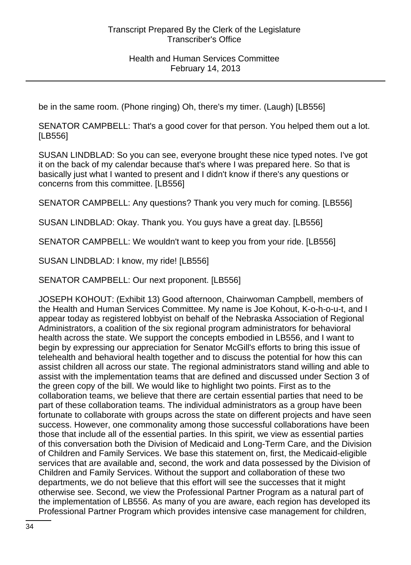be in the same room. (Phone ringing) Oh, there's my timer. (Laugh) [LB556]

SENATOR CAMPBELL: That's a good cover for that person. You helped them out a lot. [LB556]

SUSAN LINDBLAD: So you can see, everyone brought these nice typed notes. I've got it on the back of my calendar because that's where I was prepared here. So that is basically just what I wanted to present and I didn't know if there's any questions or concerns from this committee. [LB556]

SENATOR CAMPBELL: Any questions? Thank you very much for coming. [LB556]

SUSAN LINDBLAD: Okay. Thank you. You guys have a great day. [LB556]

SENATOR CAMPBELL: We wouldn't want to keep you from your ride. [LB556]

SUSAN LINDBLAD: I know, my ride! [LB556]

SENATOR CAMPBELL: Our next proponent. [LB556]

JOSEPH KOHOUT: (Exhibit 13) Good afternoon, Chairwoman Campbell, members of the Health and Human Services Committee. My name is Joe Kohout, K-o-h-o-u-t, and I appear today as registered lobbyist on behalf of the Nebraska Association of Regional Administrators, a coalition of the six regional program administrators for behavioral health across the state. We support the concepts embodied in LB556, and I want to begin by expressing our appreciation for Senator McGill's efforts to bring this issue of telehealth and behavioral health together and to discuss the potential for how this can assist children all across our state. The regional administrators stand willing and able to assist with the implementation teams that are defined and discussed under Section 3 of the green copy of the bill. We would like to highlight two points. First as to the collaboration teams, we believe that there are certain essential parties that need to be part of these collaboration teams. The individual administrators as a group have been fortunate to collaborate with groups across the state on different projects and have seen success. However, one commonality among those successful collaborations have been those that include all of the essential parties. In this spirit, we view as essential parties of this conversation both the Division of Medicaid and Long-Term Care, and the Division of Children and Family Services. We base this statement on, first, the Medicaid-eligible services that are available and, second, the work and data possessed by the Division of Children and Family Services. Without the support and collaboration of these two departments, we do not believe that this effort will see the successes that it might otherwise see. Second, we view the Professional Partner Program as a natural part of the implementation of LB556. As many of you are aware, each region has developed its Professional Partner Program which provides intensive case management for children,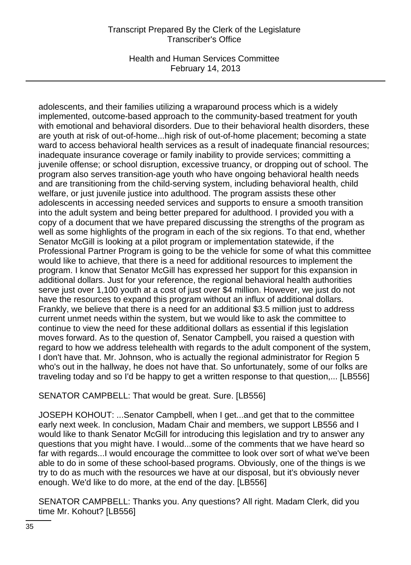Health and Human Services Committee February 14, 2013

adolescents, and their families utilizing a wraparound process which is a widely implemented, outcome-based approach to the community-based treatment for youth with emotional and behavioral disorders. Due to their behavioral health disorders, these are youth at risk of out-of-home...high risk of out-of-home placement; becoming a state ward to access behavioral health services as a result of inadequate financial resources; inadequate insurance coverage or family inability to provide services; committing a juvenile offense; or school disruption, excessive truancy, or dropping out of school. The program also serves transition-age youth who have ongoing behavioral health needs and are transitioning from the child-serving system, including behavioral health, child welfare, or just juvenile justice into adulthood. The program assists these other adolescents in accessing needed services and supports to ensure a smooth transition into the adult system and being better prepared for adulthood. I provided you with a copy of a document that we have prepared discussing the strengths of the program as well as some highlights of the program in each of the six regions. To that end, whether Senator McGill is looking at a pilot program or implementation statewide, if the Professional Partner Program is going to be the vehicle for some of what this committee would like to achieve, that there is a need for additional resources to implement the program. I know that Senator McGill has expressed her support for this expansion in additional dollars. Just for your reference, the regional behavioral health authorities serve just over 1,100 youth at a cost of just over \$4 million. However, we just do not have the resources to expand this program without an influx of additional dollars. Frankly, we believe that there is a need for an additional \$3.5 million just to address current unmet needs within the system, but we would like to ask the committee to continue to view the need for these additional dollars as essential if this legislation moves forward. As to the question of, Senator Campbell, you raised a question with regard to how we address telehealth with regards to the adult component of the system, I don't have that. Mr. Johnson, who is actually the regional administrator for Region 5 who's out in the hallway, he does not have that. So unfortunately, some of our folks are traveling today and so I'd be happy to get a written response to that question,... [LB556]

SENATOR CAMPBELL: That would be great. Sure. [LB556]

JOSEPH KOHOUT: ...Senator Campbell, when I get...and get that to the committee early next week. In conclusion, Madam Chair and members, we support LB556 and I would like to thank Senator McGill for introducing this legislation and try to answer any questions that you might have. I would...some of the comments that we have heard so far with regards...I would encourage the committee to look over sort of what we've been able to do in some of these school-based programs. Obviously, one of the things is we try to do as much with the resources we have at our disposal, but it's obviously never enough. We'd like to do more, at the end of the day. [LB556]

SENATOR CAMPBELL: Thanks you. Any questions? All right. Madam Clerk, did you time Mr. Kohout? [LB556]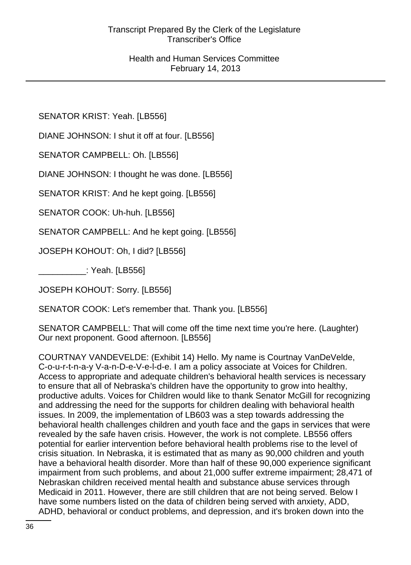SENATOR KRIST: Yeah. [LB556]

DIANE JOHNSON: I shut it off at four. [LB556]

SENATOR CAMPBELL: Oh. [LB556]

DIANE JOHNSON: I thought he was done. [LB556]

SENATOR KRIST: And he kept going. [LB556]

SENATOR COOK: Uh-huh. [LB556]

SENATOR CAMPBELL: And he kept going. [LB556]

JOSEPH KOHOUT: Oh, I did? [LB556]

\_\_\_\_\_\_\_\_\_\_: Yeah. [LB556]

JOSEPH KOHOUT: Sorry. [LB556]

SENATOR COOK: Let's remember that. Thank you. [LB556]

SENATOR CAMPBELL: That will come off the time next time you're here. (Laughter) Our next proponent. Good afternoon. [LB556]

COURTNAY VANDEVELDE: (Exhibit 14) Hello. My name is Courtnay VanDeVelde, C-o-u-r-t-n-a-y V-a-n-D-e-V-e-l-d-e. I am a policy associate at Voices for Children. Access to appropriate and adequate children's behavioral health services is necessary to ensure that all of Nebraska's children have the opportunity to grow into healthy, productive adults. Voices for Children would like to thank Senator McGill for recognizing and addressing the need for the supports for children dealing with behavioral health issues. In 2009, the implementation of LB603 was a step towards addressing the behavioral health challenges children and youth face and the gaps in services that were revealed by the safe haven crisis. However, the work is not complete. LB556 offers potential for earlier intervention before behavioral health problems rise to the level of crisis situation. In Nebraska, it is estimated that as many as 90,000 children and youth have a behavioral health disorder. More than half of these 90,000 experience significant impairment from such problems, and about 21,000 suffer extreme impairment; 28,471 of Nebraskan children received mental health and substance abuse services through Medicaid in 2011. However, there are still children that are not being served. Below I have some numbers listed on the data of children being served with anxiety, ADD, ADHD, behavioral or conduct problems, and depression, and it's broken down into the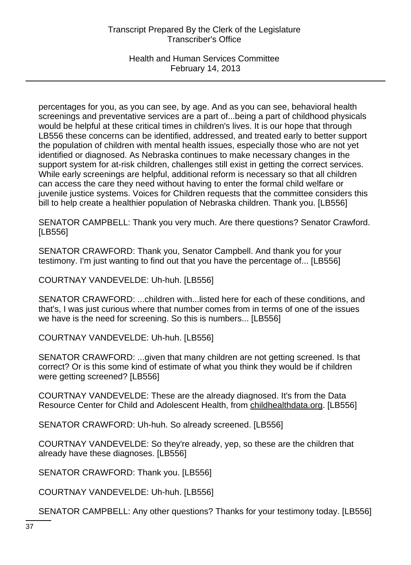## Health and Human Services Committee February 14, 2013

percentages for you, as you can see, by age. And as you can see, behavioral health screenings and preventative services are a part of...being a part of childhood physicals would be helpful at these critical times in children's lives. It is our hope that through LB556 these concerns can be identified, addressed, and treated early to better support the population of children with mental health issues, especially those who are not yet identified or diagnosed. As Nebraska continues to make necessary changes in the support system for at-risk children, challenges still exist in getting the correct services. While early screenings are helpful, additional reform is necessary so that all children can access the care they need without having to enter the formal child welfare or juvenile justice systems. Voices for Children requests that the committee considers this bill to help create a healthier population of Nebraska children. Thank you. [LB556]

SENATOR CAMPBELL: Thank you very much. Are there questions? Senator Crawford. [LB556]

SENATOR CRAWFORD: Thank you, Senator Campbell. And thank you for your testimony. I'm just wanting to find out that you have the percentage of... [LB556]

COURTNAY VANDEVELDE: Uh-huh. [LB556]

SENATOR CRAWFORD: ...children with...listed here for each of these conditions, and that's, I was just curious where that number comes from in terms of one of the issues we have is the need for screening. So this is numbers... [LB556]

COURTNAY VANDEVELDE: Uh-huh. [LB556]

SENATOR CRAWFORD: ...given that many children are not getting screened. Is that correct? Or is this some kind of estimate of what you think they would be if children were getting screened? [LB556]

COURTNAY VANDEVELDE: These are the already diagnosed. It's from the Data Resource Center for Child and Adolescent Health, from childhealthdata.org. [LB556]

SENATOR CRAWFORD: Uh-huh. So already screened. [LB556]

COURTNAY VANDEVELDE: So they're already, yep, so these are the children that already have these diagnoses. [LB556]

SENATOR CRAWFORD: Thank you. [LB556]

COURTNAY VANDEVELDE: Uh-huh. [LB556]

SENATOR CAMPBELL: Any other questions? Thanks for your testimony today. [LB556]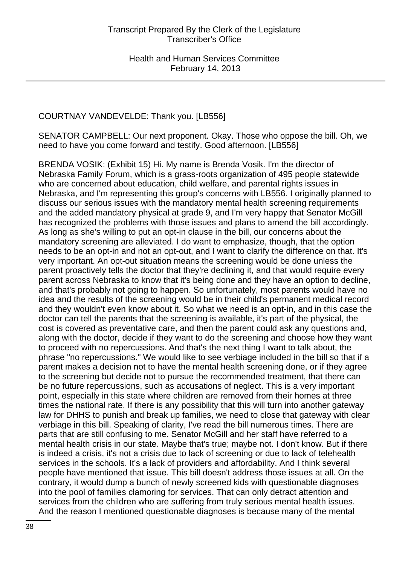# COURTNAY VANDEVELDE: Thank you. [LB556]

SENATOR CAMPBELL: Our next proponent. Okay. Those who oppose the bill. Oh, we need to have you come forward and testify. Good afternoon. [LB556]

BRENDA VOSIK: (Exhibit 15) Hi. My name is Brenda Vosik. I'm the director of Nebraska Family Forum, which is a grass-roots organization of 495 people statewide who are concerned about education, child welfare, and parental rights issues in Nebraska, and I'm representing this group's concerns with LB556. I originally planned to discuss our serious issues with the mandatory mental health screening requirements and the added mandatory physical at grade 9, and I'm very happy that Senator McGill has recognized the problems with those issues and plans to amend the bill accordingly. As long as she's willing to put an opt-in clause in the bill, our concerns about the mandatory screening are alleviated. I do want to emphasize, though, that the option needs to be an opt-in and not an opt-out, and I want to clarify the difference on that. It's very important. An opt-out situation means the screening would be done unless the parent proactively tells the doctor that they're declining it, and that would require every parent across Nebraska to know that it's being done and they have an option to decline, and that's probably not going to happen. So unfortunately, most parents would have no idea and the results of the screening would be in their child's permanent medical record and they wouldn't even know about it. So what we need is an opt-in, and in this case the doctor can tell the parents that the screening is available, it's part of the physical, the cost is covered as preventative care, and then the parent could ask any questions and, along with the doctor, decide if they want to do the screening and choose how they want to proceed with no repercussions. And that's the next thing I want to talk about, the phrase "no repercussions." We would like to see verbiage included in the bill so that if a parent makes a decision not to have the mental health screening done, or if they agree to the screening but decide not to pursue the recommended treatment, that there can be no future repercussions, such as accusations of neglect. This is a very important point, especially in this state where children are removed from their homes at three times the national rate. If there is any possibility that this will turn into another gateway law for DHHS to punish and break up families, we need to close that gateway with clear verbiage in this bill. Speaking of clarity, I've read the bill numerous times. There are parts that are still confusing to me. Senator McGill and her staff have referred to a mental health crisis in our state. Maybe that's true; maybe not. I don't know. But if there is indeed a crisis, it's not a crisis due to lack of screening or due to lack of telehealth services in the schools. It's a lack of providers and affordability. And I think several people have mentioned that issue. This bill doesn't address those issues at all. On the contrary, it would dump a bunch of newly screened kids with questionable diagnoses into the pool of families clamoring for services. That can only detract attention and services from the children who are suffering from truly serious mental health issues. And the reason I mentioned questionable diagnoses is because many of the mental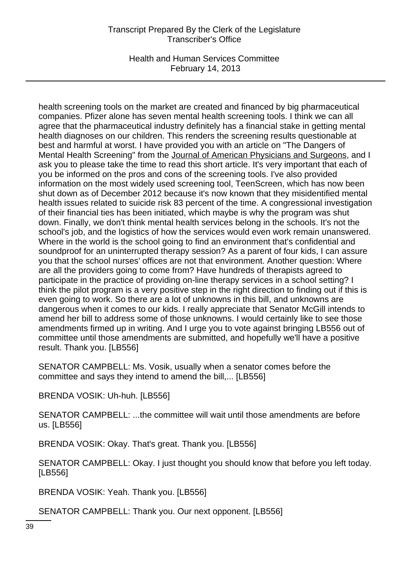Health and Human Services Committee February 14, 2013

health screening tools on the market are created and financed by big pharmaceutical companies. Pfizer alone has seven mental health screening tools. I think we can all agree that the pharmaceutical industry definitely has a financial stake in getting mental health diagnoses on our children. This renders the screening results questionable at best and harmful at worst. I have provided you with an article on "The Dangers of Mental Health Screening" from the Journal of American Physicians and Surgeons, and I ask you to please take the time to read this short article. It's very important that each of you be informed on the pros and cons of the screening tools. I've also provided information on the most widely used screening tool, TeenScreen, which has now been shut down as of December 2012 because it's now known that they misidentified mental health issues related to suicide risk 83 percent of the time. A congressional investigation of their financial ties has been initiated, which maybe is why the program was shut down. Finally, we don't think mental health services belong in the schools. It's not the school's job, and the logistics of how the services would even work remain unanswered. Where in the world is the school going to find an environment that's confidential and soundproof for an uninterrupted therapy session? As a parent of four kids, I can assure you that the school nurses' offices are not that environment. Another question: Where are all the providers going to come from? Have hundreds of therapists agreed to participate in the practice of providing on-line therapy services in a school setting? I think the pilot program is a very positive step in the right direction to finding out if this is even going to work. So there are a lot of unknowns in this bill, and unknowns are dangerous when it comes to our kids. I really appreciate that Senator McGill intends to amend her bill to address some of those unknowns. I would certainly like to see those amendments firmed up in writing. And I urge you to vote against bringing LB556 out of committee until those amendments are submitted, and hopefully we'll have a positive result. Thank you. [LB556]

SENATOR CAMPBELL: Ms. Vosik, usually when a senator comes before the committee and says they intend to amend the bill,... [LB556]

BRENDA VOSIK: Uh-huh. [LB556]

SENATOR CAMPBELL: ...the committee will wait until those amendments are before us. [LB556]

BRENDA VOSIK: Okay. That's great. Thank you. [LB556]

SENATOR CAMPBELL: Okay. I just thought you should know that before you left today. [LB556]

BRENDA VOSIK: Yeah. Thank you. [LB556]

SENATOR CAMPBELL: Thank you. Our next opponent. [LB556]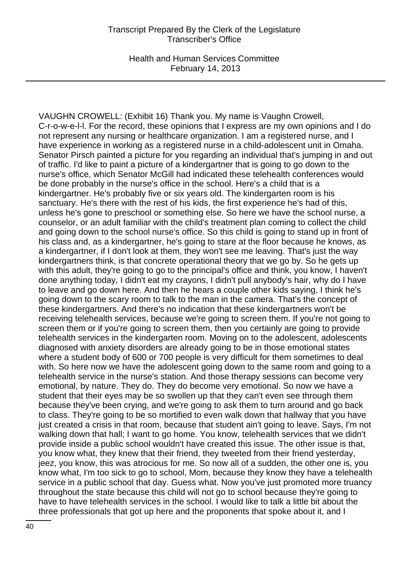Health and Human Services Committee February 14, 2013

VAUGHN CROWELL: (Exhibit 16) Thank you. My name is Vaughn Crowell, C-r-o-w-e-l-l. For the record, these opinions that I express are my own opinions and I do not represent any nursing or healthcare organization. I am a registered nurse, and I have experience in working as a registered nurse in a child-adolescent unit in Omaha. Senator Pirsch painted a picture for you regarding an individual that's jumping in and out of traffic. I'd like to paint a picture of a kindergartner that is going to go down to the nurse's office, which Senator McGill had indicated these telehealth conferences would be done probably in the nurse's office in the school. Here's a child that is a kindergartner. He's probably five or six years old. The kindergarten room is his sanctuary. He's there with the rest of his kids, the first experience he's had of this, unless he's gone to preschool or something else. So here we have the school nurse, a counselor, or an adult familiar with the child's treatment plan coming to collect the child and going down to the school nurse's office. So this child is going to stand up in front of his class and, as a kindergartner, he's going to stare at the floor because he knows, as a kindergartner, if I don't look at them, they won't see me leaving. That's just the way kindergartners think, is that concrete operational theory that we go by. So he gets up with this adult, they're going to go to the principal's office and think, you know, I haven't done anything today, I didn't eat my crayons, I didn't pull anybody's hair, why do I have to leave and go down here. And then he hears a couple other kids saying, I think he's going down to the scary room to talk to the man in the camera. That's the concept of these kindergartners. And there's no indication that these kindergartners won't be receiving telehealth services, because we're going to screen them. If you're not going to screen them or if you're going to screen them, then you certainly are going to provide telehealth services in the kindergarten room. Moving on to the adolescent, adolescents diagnosed with anxiety disorders are already going to be in those emotional states where a student body of 600 or 700 people is very difficult for them sometimes to deal with. So here now we have the adolescent going down to the same room and going to a telehealth service in the nurse's station. And those therapy sessions can become very emotional, by nature. They do. They do become very emotional. So now we have a student that their eyes may be so swollen up that they can't even see through them because they've been crying, and we're going to ask them to turn around and go back to class. They're going to be so mortified to even walk down that hallway that you have just created a crisis in that room, because that student ain't going to leave. Says, I'm not walking down that hall; I want to go home. You know, telehealth services that we didn't provide inside a public school wouldn't have created this issue. The other issue is that, you know what, they knew that their friend, they tweeted from their friend yesterday, jeez, you know, this was atrocious for me. So now all of a sudden, the other one is, you know what, I'm too sick to go to school, Mom, because they know they have a telehealth service in a public school that day. Guess what. Now you've just promoted more truancy throughout the state because this child will not go to school because they're going to have to have telehealth services in the school. I would like to talk a little bit about the three professionals that got up here and the proponents that spoke about it, and I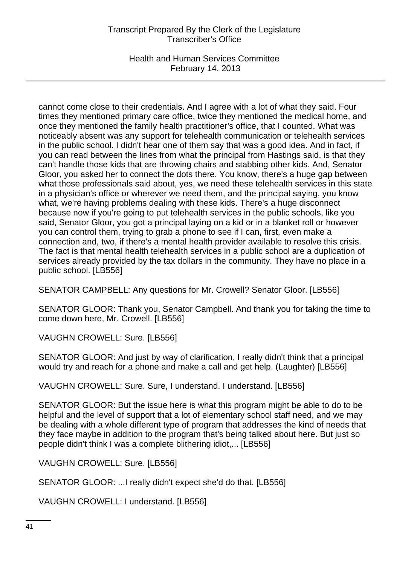Health and Human Services Committee February 14, 2013

cannot come close to their credentials. And I agree with a lot of what they said. Four times they mentioned primary care office, twice they mentioned the medical home, and once they mentioned the family health practitioner's office, that I counted. What was noticeably absent was any support for telehealth communication or telehealth services in the public school. I didn't hear one of them say that was a good idea. And in fact, if you can read between the lines from what the principal from Hastings said, is that they can't handle those kids that are throwing chairs and stabbing other kids. And, Senator Gloor, you asked her to connect the dots there. You know, there's a huge gap between what those professionals said about, yes, we need these telehealth services in this state in a physician's office or wherever we need them, and the principal saying, you know what, we're having problems dealing with these kids. There's a huge disconnect because now if you're going to put telehealth services in the public schools, like you said, Senator Gloor, you got a principal laying on a kid or in a blanket roll or however you can control them, trying to grab a phone to see if I can, first, even make a connection and, two, if there's a mental health provider available to resolve this crisis. The fact is that mental health telehealth services in a public school are a duplication of services already provided by the tax dollars in the community. They have no place in a public school. [LB556]

SENATOR CAMPBELL: Any questions for Mr. Crowell? Senator Gloor. [LB556]

SENATOR GLOOR: Thank you, Senator Campbell. And thank you for taking the time to come down here, Mr. Crowell. [LB556]

VAUGHN CROWELL: Sure. [LB556]

SENATOR GLOOR: And just by way of clarification, I really didn't think that a principal would try and reach for a phone and make a call and get help. (Laughter) [LB556]

VAUGHN CROWELL: Sure. Sure, I understand. I understand. [LB556]

SENATOR GLOOR: But the issue here is what this program might be able to do to be helpful and the level of support that a lot of elementary school staff need, and we may be dealing with a whole different type of program that addresses the kind of needs that they face maybe in addition to the program that's being talked about here. But just so people didn't think I was a complete blithering idiot,... [LB556]

VAUGHN CROWELL: Sure. [LB556]

SENATOR GLOOR: ...I really didn't expect she'd do that. [LB556]

VAUGHN CROWELL: I understand. [LB556]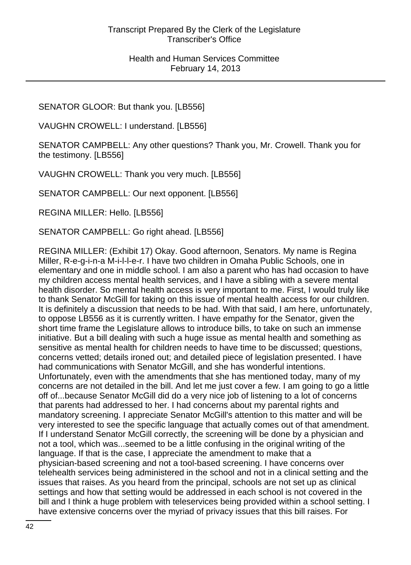SENATOR GLOOR: But thank you. [LB556]

VAUGHN CROWELL: I understand. [LB556]

SENATOR CAMPBELL: Any other questions? Thank you, Mr. Crowell. Thank you for the testimony. [LB556]

VAUGHN CROWELL: Thank you very much. [LB556]

SENATOR CAMPBELL: Our next opponent. [LB556]

REGINA MILLER: Hello. [LB556]

SENATOR CAMPBELL: Go right ahead. [LB556]

REGINA MILLER: (Exhibit 17) Okay. Good afternoon, Senators. My name is Regina Miller, R-e-g-i-n-a M-i-l-l-e-r. I have two children in Omaha Public Schools, one in elementary and one in middle school. I am also a parent who has had occasion to have my children access mental health services, and I have a sibling with a severe mental health disorder. So mental health access is very important to me. First, I would truly like to thank Senator McGill for taking on this issue of mental health access for our children. It is definitely a discussion that needs to be had. With that said, I am here, unfortunately, to oppose LB556 as it is currently written. I have empathy for the Senator, given the short time frame the Legislature allows to introduce bills, to take on such an immense initiative. But a bill dealing with such a huge issue as mental health and something as sensitive as mental health for children needs to have time to be discussed; questions, concerns vetted; details ironed out; and detailed piece of legislation presented. I have had communications with Senator McGill, and she has wonderful intentions. Unfortunately, even with the amendments that she has mentioned today, many of my concerns are not detailed in the bill. And let me just cover a few. I am going to go a little off of...because Senator McGill did do a very nice job of listening to a lot of concerns that parents had addressed to her. I had concerns about my parental rights and mandatory screening. I appreciate Senator McGill's attention to this matter and will be very interested to see the specific language that actually comes out of that amendment. If I understand Senator McGill correctly, the screening will be done by a physician and not a tool, which was...seemed to be a little confusing in the original writing of the language. If that is the case, I appreciate the amendment to make that a physician-based screening and not a tool-based screening. I have concerns over telehealth services being administered in the school and not in a clinical setting and the issues that raises. As you heard from the principal, schools are not set up as clinical settings and how that setting would be addressed in each school is not covered in the bill and I think a huge problem with teleservices being provided within a school setting. I have extensive concerns over the myriad of privacy issues that this bill raises. For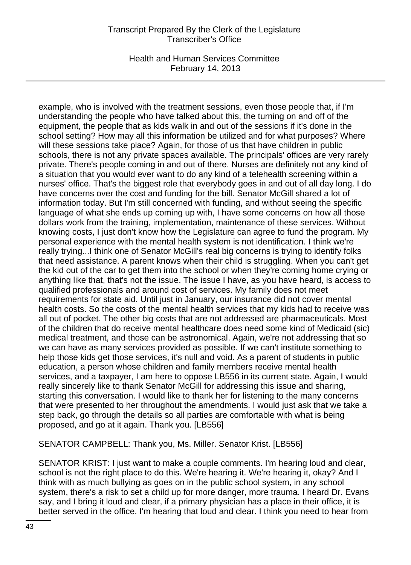Health and Human Services Committee February 14, 2013

example, who is involved with the treatment sessions, even those people that, if I'm understanding the people who have talked about this, the turning on and off of the equipment, the people that as kids walk in and out of the sessions if it's done in the school setting? How may all this information be utilized and for what purposes? Where will these sessions take place? Again, for those of us that have children in public schools, there is not any private spaces available. The principals' offices are very rarely private. There's people coming in and out of there. Nurses are definitely not any kind of a situation that you would ever want to do any kind of a telehealth screening within a nurses' office. That's the biggest role that everybody goes in and out of all day long. I do have concerns over the cost and funding for the bill. Senator McGill shared a lot of information today. But I'm still concerned with funding, and without seeing the specific language of what she ends up coming up with, I have some concerns on how all those dollars work from the training, implementation, maintenance of these services. Without knowing costs, I just don't know how the Legislature can agree to fund the program. My personal experience with the mental health system is not identification. I think we're really trying...I think one of Senator McGill's real big concerns is trying to identify folks that need assistance. A parent knows when their child is struggling. When you can't get the kid out of the car to get them into the school or when they're coming home crying or anything like that, that's not the issue. The issue I have, as you have heard, is access to qualified professionals and around cost of services. My family does not meet requirements for state aid. Until just in January, our insurance did not cover mental health costs. So the costs of the mental health services that my kids had to receive was all out of pocket. The other big costs that are not addressed are pharmaceuticals. Most of the children that do receive mental healthcare does need some kind of Medicaid (sic) medical treatment, and those can be astronomical. Again, we're not addressing that so we can have as many services provided as possible. If we can't institute something to help those kids get those services, it's null and void. As a parent of students in public education, a person whose children and family members receive mental health services, and a taxpayer, I am here to oppose LB556 in its current state. Again, I would really sincerely like to thank Senator McGill for addressing this issue and sharing, starting this conversation. I would like to thank her for listening to the many concerns that were presented to her throughout the amendments. I would just ask that we take a step back, go through the details so all parties are comfortable with what is being proposed, and go at it again. Thank you. [LB556]

SENATOR CAMPBELL: Thank you, Ms. Miller. Senator Krist. [LB556]

SENATOR KRIST: I just want to make a couple comments. I'm hearing loud and clear, school is not the right place to do this. We're hearing it. We're hearing it, okay? And I think with as much bullying as goes on in the public school system, in any school system, there's a risk to set a child up for more danger, more trauma. I heard Dr. Evans say, and I bring it loud and clear, if a primary physician has a place in their office, it is better served in the office. I'm hearing that loud and clear. I think you need to hear from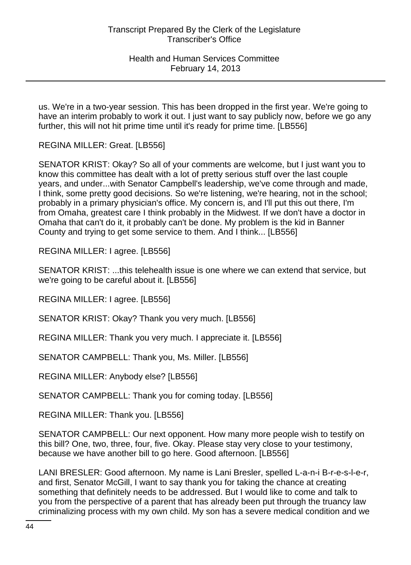us. We're in a two-year session. This has been dropped in the first year. We're going to have an interim probably to work it out. I just want to say publicly now, before we go any further, this will not hit prime time until it's ready for prime time. [LB556]

REGINA MILLER: Great. [LB556]

SENATOR KRIST: Okay? So all of your comments are welcome, but I just want you to know this committee has dealt with a lot of pretty serious stuff over the last couple years, and under...with Senator Campbell's leadership, we've come through and made, I think, some pretty good decisions. So we're listening, we're hearing, not in the school; probably in a primary physician's office. My concern is, and I'll put this out there, I'm from Omaha, greatest care I think probably in the Midwest. If we don't have a doctor in Omaha that can't do it, it probably can't be done. My problem is the kid in Banner County and trying to get some service to them. And I think... [LB556]

REGINA MILLER: I agree. [LB556]

SENATOR KRIST: ...this telehealth issue is one where we can extend that service, but we're going to be careful about it. [LB556]

REGINA MILLER: I agree. [LB556]

SENATOR KRIST: Okay? Thank you very much. [LB556]

REGINA MILLER: Thank you very much. I appreciate it. [LB556]

SENATOR CAMPBELL: Thank you, Ms. Miller. [LB556]

REGINA MILLER: Anybody else? [LB556]

SENATOR CAMPBELL: Thank you for coming today. [LB556]

REGINA MILLER: Thank you. [LB556]

SENATOR CAMPBELL: Our next opponent. How many more people wish to testify on this bill? One, two, three, four, five. Okay. Please stay very close to your testimony, because we have another bill to go here. Good afternoon. [LB556]

LANI BRESLER: Good afternoon. My name is Lani Bresler, spelled L-a-n-i B-r-e-s-l-e-r, and first, Senator McGill, I want to say thank you for taking the chance at creating something that definitely needs to be addressed. But I would like to come and talk to you from the perspective of a parent that has already been put through the truancy law criminalizing process with my own child. My son has a severe medical condition and we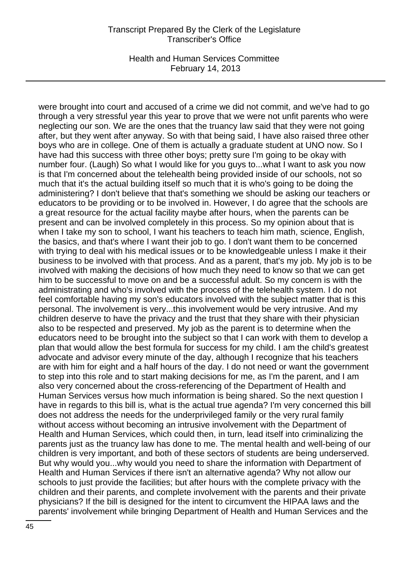Health and Human Services Committee February 14, 2013

were brought into court and accused of a crime we did not commit, and we've had to go through a very stressful year this year to prove that we were not unfit parents who were neglecting our son. We are the ones that the truancy law said that they were not going after, but they went after anyway. So with that being said, I have also raised three other boys who are in college. One of them is actually a graduate student at UNO now. So I have had this success with three other boys; pretty sure I'm going to be okay with number four. (Laugh) So what I would like for you guys to...what I want to ask you now is that I'm concerned about the telehealth being provided inside of our schools, not so much that it's the actual building itself so much that it is who's going to be doing the administering? I don't believe that that's something we should be asking our teachers or educators to be providing or to be involved in. However, I do agree that the schools are a great resource for the actual facility maybe after hours, when the parents can be present and can be involved completely in this process. So my opinion about that is when I take my son to school, I want his teachers to teach him math, science, English, the basics, and that's where I want their job to go. I don't want them to be concerned with trying to deal with his medical issues or to be knowledgeable unless I make it their business to be involved with that process. And as a parent, that's my job. My job is to be involved with making the decisions of how much they need to know so that we can get him to be successful to move on and be a successful adult. So my concern is with the administrating and who's involved with the process of the telehealth system. I do not feel comfortable having my son's educators involved with the subject matter that is this personal. The involvement is very...this involvement would be very intrusive. And my children deserve to have the privacy and the trust that they share with their physician also to be respected and preserved. My job as the parent is to determine when the educators need to be brought into the subject so that I can work with them to develop a plan that would allow the best formula for success for my child. I am the child's greatest advocate and advisor every minute of the day, although I recognize that his teachers are with him for eight and a half hours of the day. I do not need or want the government to step into this role and to start making decisions for me, as I'm the parent, and I am also very concerned about the cross-referencing of the Department of Health and Human Services versus how much information is being shared. So the next question I have in regards to this bill is, what is the actual true agenda? I'm very concerned this bill does not address the needs for the underprivileged family or the very rural family without access without becoming an intrusive involvement with the Department of Health and Human Services, which could then, in turn, lead itself into criminalizing the parents just as the truancy law has done to me. The mental health and well-being of our children is very important, and both of these sectors of students are being underserved. But why would you...why would you need to share the information with Department of Health and Human Services if there isn't an alternative agenda? Why not allow our schools to just provide the facilities; but after hours with the complete privacy with the children and their parents, and complete involvement with the parents and their private physicians? If the bill is designed for the intent to circumvent the HIPAA laws and the parents' involvement while bringing Department of Health and Human Services and the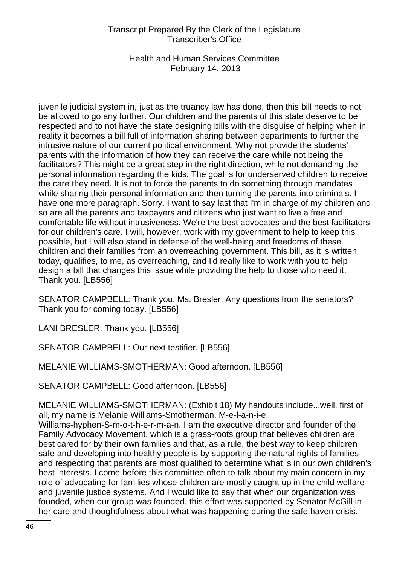Health and Human Services Committee February 14, 2013

juvenile judicial system in, just as the truancy law has done, then this bill needs to not be allowed to go any further. Our children and the parents of this state deserve to be respected and to not have the state designing bills with the disguise of helping when in reality it becomes a bill full of information sharing between departments to further the intrusive nature of our current political environment. Why not provide the students' parents with the information of how they can receive the care while not being the facilitators? This might be a great step in the right direction, while not demanding the personal information regarding the kids. The goal is for underserved children to receive the care they need. It is not to force the parents to do something through mandates while sharing their personal information and then turning the parents into criminals. I have one more paragraph. Sorry. I want to say last that I'm in charge of my children and so are all the parents and taxpayers and citizens who just want to live a free and comfortable life without intrusiveness. We're the best advocates and the best facilitators for our children's care. I will, however, work with my government to help to keep this possible, but I will also stand in defense of the well-being and freedoms of these children and their families from an overreaching government. This bill, as it is written today, qualifies, to me, as overreaching, and I'd really like to work with you to help design a bill that changes this issue while providing the help to those who need it. Thank you. [LB556]

SENATOR CAMPBELL: Thank you, Ms. Bresler. Any questions from the senators? Thank you for coming today. [LB556]

LANI BRESLER: Thank you. [LB556]

SENATOR CAMPBELL: Our next testifier. [LB556]

MELANIE WILLIAMS-SMOTHERMAN: Good afternoon. [LB556]

SENATOR CAMPBELL: Good afternoon. [LB556]

MELANIE WILLIAMS-SMOTHERMAN: (Exhibit 18) My handouts include...well, first of all, my name is Melanie Williams-Smotherman, M-e-l-a-n-i-e,

Williams-hyphen-S-m-o-t-h-e-r-m-a-n. I am the executive director and founder of the Family Advocacy Movement, which is a grass-roots group that believes children are best cared for by their own families and that, as a rule, the best way to keep children safe and developing into healthy people is by supporting the natural rights of families and respecting that parents are most qualified to determine what is in our own children's best interests. I come before this committee often to talk about my main concern in my role of advocating for families whose children are mostly caught up in the child welfare and juvenile justice systems. And I would like to say that when our organization was founded, when our group was founded, this effort was supported by Senator McGill in her care and thoughtfulness about what was happening during the safe haven crisis.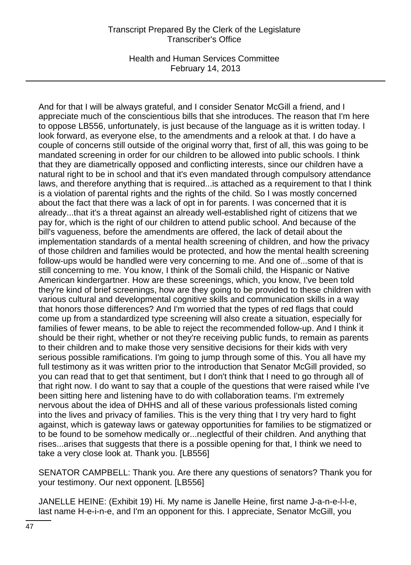Health and Human Services Committee February 14, 2013

And for that I will be always grateful, and I consider Senator McGill a friend, and I appreciate much of the conscientious bills that she introduces. The reason that I'm here to oppose LB556, unfortunately, is just because of the language as it is written today. I look forward, as everyone else, to the amendments and a relook at that. I do have a couple of concerns still outside of the original worry that, first of all, this was going to be mandated screening in order for our children to be allowed into public schools. I think that they are diametrically opposed and conflicting interests, since our children have a natural right to be in school and that it's even mandated through compulsory attendance laws, and therefore anything that is required...is attached as a requirement to that I think is a violation of parental rights and the rights of the child. So I was mostly concerned about the fact that there was a lack of opt in for parents. I was concerned that it is already...that it's a threat against an already well-established right of citizens that we pay for, which is the right of our children to attend public school. And because of the bill's vagueness, before the amendments are offered, the lack of detail about the implementation standards of a mental health screening of children, and how the privacy of those children and families would be protected, and how the mental health screening follow-ups would be handled were very concerning to me. And one of...some of that is still concerning to me. You know, I think of the Somali child, the Hispanic or Native American kindergartner. How are these screenings, which, you know, I've been told they're kind of brief screenings, how are they going to be provided to these children with various cultural and developmental cognitive skills and communication skills in a way that honors those differences? And I'm worried that the types of red flags that could come up from a standardized type screening will also create a situation, especially for families of fewer means, to be able to reject the recommended follow-up. And I think it should be their right, whether or not they're receiving public funds, to remain as parents to their children and to make those very sensitive decisions for their kids with very serious possible ramifications. I'm going to jump through some of this. You all have my full testimony as it was written prior to the introduction that Senator McGill provided, so you can read that to get that sentiment, but I don't think that I need to go through all of that right now. I do want to say that a couple of the questions that were raised while I've been sitting here and listening have to do with collaboration teams. I'm extremely nervous about the idea of DHHS and all of these various professionals listed coming into the lives and privacy of families. This is the very thing that I try very hard to fight against, which is gateway laws or gateway opportunities for families to be stigmatized or to be found to be somehow medically or...neglectful of their children. And anything that rises...arises that suggests that there is a possible opening for that, I think we need to take a very close look at. Thank you. [LB556]

SENATOR CAMPBELL: Thank you. Are there any questions of senators? Thank you for your testimony. Our next opponent. [LB556]

JANELLE HEINE: (Exhibit 19) Hi. My name is Janelle Heine, first name J-a-n-e-l-l-e, last name H-e-i-n-e, and I'm an opponent for this. I appreciate, Senator McGill, you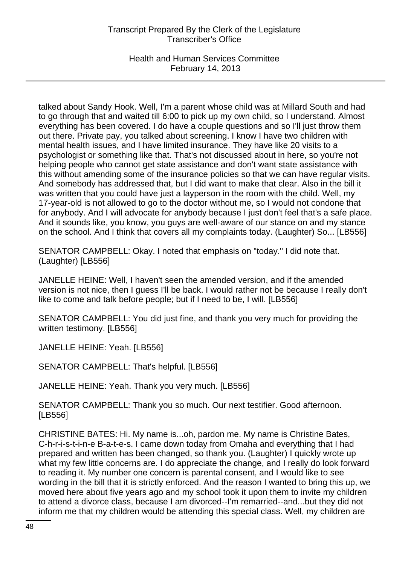Health and Human Services Committee February 14, 2013

talked about Sandy Hook. Well, I'm a parent whose child was at Millard South and had to go through that and waited till 6:00 to pick up my own child, so I understand. Almost everything has been covered. I do have a couple questions and so I'll just throw them out there. Private pay, you talked about screening. I know I have two children with mental health issues, and I have limited insurance. They have like 20 visits to a psychologist or something like that. That's not discussed about in here, so you're not helping people who cannot get state assistance and don't want state assistance with this without amending some of the insurance policies so that we can have regular visits. And somebody has addressed that, but I did want to make that clear. Also in the bill it was written that you could have just a layperson in the room with the child. Well, my 17-year-old is not allowed to go to the doctor without me, so I would not condone that for anybody. And I will advocate for anybody because I just don't feel that's a safe place. And it sounds like, you know, you guys are well-aware of our stance on and my stance on the school. And I think that covers all my complaints today. (Laughter) So... [LB556]

SENATOR CAMPBELL: Okay. I noted that emphasis on "today." I did note that. (Laughter) [LB556]

JANELLE HEINE: Well, I haven't seen the amended version, and if the amended version is not nice, then I guess I'll be back. I would rather not be because I really don't like to come and talk before people; but if I need to be, I will. [LB556]

SENATOR CAMPBELL: You did just fine, and thank you very much for providing the written testimony. [LB556]

JANELLE HEINE: Yeah. [LB556]

SENATOR CAMPBELL: That's helpful. [LB556]

JANELLE HEINE: Yeah. Thank you very much. [LB556]

SENATOR CAMPBELL: Thank you so much. Our next testifier. Good afternoon. [LB556]

CHRISTINE BATES: Hi. My name is...oh, pardon me. My name is Christine Bates, C-h-r-i-s-t-i-n-e B-a-t-e-s. I came down today from Omaha and everything that I had prepared and written has been changed, so thank you. (Laughter) I quickly wrote up what my few little concerns are. I do appreciate the change, and I really do look forward to reading it. My number one concern is parental consent, and I would like to see wording in the bill that it is strictly enforced. And the reason I wanted to bring this up, we moved here about five years ago and my school took it upon them to invite my children to attend a divorce class, because I am divorced--I'm remarried--and...but they did not inform me that my children would be attending this special class. Well, my children are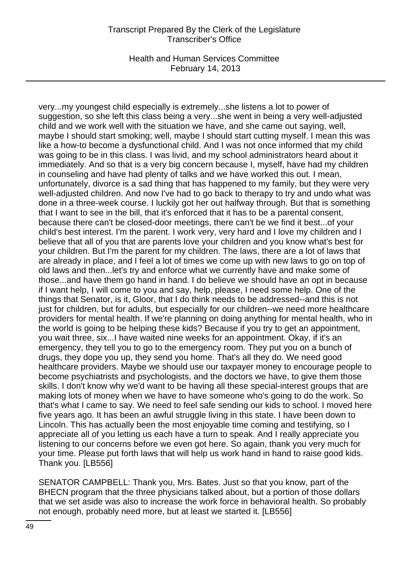Health and Human Services Committee February 14, 2013

very...my youngest child especially is extremely...she listens a lot to power of suggestion, so she left this class being a very...she went in being a very well-adjusted child and we work well with the situation we have, and she came out saying, well, maybe I should start smoking; well, maybe I should start cutting myself. I mean this was like a how-to become a dysfunctional child. And I was not once informed that my child was going to be in this class. I was livid, and my school administrators heard about it immediately. And so that is a very big concern because I, myself, have had my children in counseling and have had plenty of talks and we have worked this out. I mean, unfortunately, divorce is a sad thing that has happened to my family, but they were very well-adjusted children. And now I've had to go back to therapy to try and undo what was done in a three-week course. I luckily got her out halfway through. But that is something that I want to see in the bill, that it's enforced that it has to be a parental consent, because there can't be closed-door meetings, there can't be we find it best...of your child's best interest. I'm the parent. I work very, very hard and I love my children and I believe that all of you that are parents love your children and you know what's best for your children. But I'm the parent for my children. The laws, there are a lot of laws that are already in place, and I feel a lot of times we come up with new laws to go on top of old laws and then...let's try and enforce what we currently have and make some of those...and have them go hand in hand. I do believe we should have an opt in because if I want help, I will come to you and say, help, please, I need some help. One of the things that Senator, is it, Gloor, that I do think needs to be addressed--and this is not just for children, but for adults, but especially for our children--we need more healthcare providers for mental health. If we're planning on doing anything for mental health, who in the world is going to be helping these kids? Because if you try to get an appointment, you wait three, six...I have waited nine weeks for an appointment. Okay, if it's an emergency, they tell you to go to the emergency room. They put you on a bunch of drugs, they dope you up, they send you home. That's all they do. We need good healthcare providers. Maybe we should use our taxpayer money to encourage people to become psychiatrists and psychologists, and the doctors we have, to give them those skills. I don't know why we'd want to be having all these special-interest groups that are making lots of money when we have to have someone who's going to do the work. So that's what I came to say. We need to feel safe sending our kids to school. I moved here five years ago. It has been an awful struggle living in this state. I have been down to Lincoln. This has actually been the most enjoyable time coming and testifying, so I appreciate all of you letting us each have a turn to speak. And I really appreciate you listening to our concerns before we even got here. So again, thank you very much for your time. Please put forth laws that will help us work hand in hand to raise good kids. Thank you. [LB556]

SENATOR CAMPBELL: Thank you, Mrs. Bates. Just so that you know, part of the BHECN program that the three physicians talked about, but a portion of those dollars that we set aside was also to increase the work force in behavioral health. So probably not enough, probably need more, but at least we started it. [LB556]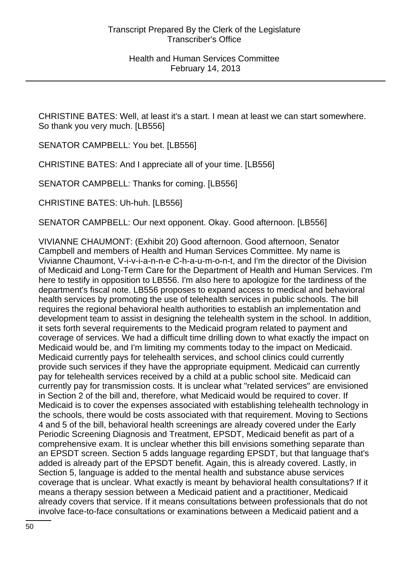CHRISTINE BATES: Well, at least it's a start. I mean at least we can start somewhere. So thank you very much. [LB556]

SENATOR CAMPBELL: You bet. [LB556]

CHRISTINE BATES: And I appreciate all of your time. [LB556]

SENATOR CAMPBELL: Thanks for coming. [LB556]

CHRISTINE BATES: Uh-huh. [LB556]

SENATOR CAMPBELL: Our next opponent. Okay. Good afternoon. [LB556]

VIVIANNE CHAUMONT: (Exhibit 20) Good afternoon. Good afternoon, Senator Campbell and members of Health and Human Services Committee. My name is Vivianne Chaumont, V-i-v-i-a-n-n-e C-h-a-u-m-o-n-t, and I'm the director of the Division of Medicaid and Long-Term Care for the Department of Health and Human Services. I'm here to testify in opposition to LB556. I'm also here to apologize for the tardiness of the department's fiscal note. LB556 proposes to expand access to medical and behavioral health services by promoting the use of telehealth services in public schools. The bill requires the regional behavioral health authorities to establish an implementation and development team to assist in designing the telehealth system in the school. In addition, it sets forth several requirements to the Medicaid program related to payment and coverage of services. We had a difficult time drilling down to what exactly the impact on Medicaid would be, and I'm limiting my comments today to the impact on Medicaid. Medicaid currently pays for telehealth services, and school clinics could currently provide such services if they have the appropriate equipment. Medicaid can currently pay for telehealth services received by a child at a public school site. Medicaid can currently pay for transmission costs. It is unclear what "related services" are envisioned in Section 2 of the bill and, therefore, what Medicaid would be required to cover. If Medicaid is to cover the expenses associated with establishing telehealth technology in the schools, there would be costs associated with that requirement. Moving to Sections 4 and 5 of the bill, behavioral health screenings are already covered under the Early Periodic Screening Diagnosis and Treatment, EPSDT, Medicaid benefit as part of a comprehensive exam. It is unclear whether this bill envisions something separate than an EPSDT screen. Section 5 adds language regarding EPSDT, but that language that's added is already part of the EPSDT benefit. Again, this is already covered. Lastly, in Section 5, language is added to the mental health and substance abuse services coverage that is unclear. What exactly is meant by behavioral health consultations? If it means a therapy session between a Medicaid patient and a practitioner, Medicaid already covers that service. If it means consultations between professionals that do not involve face-to-face consultations or examinations between a Medicaid patient and a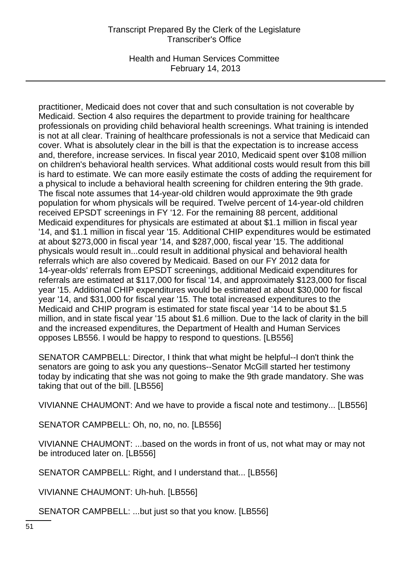Health and Human Services Committee February 14, 2013

practitioner, Medicaid does not cover that and such consultation is not coverable by Medicaid. Section 4 also requires the department to provide training for healthcare professionals on providing child behavioral health screenings. What training is intended is not at all clear. Training of healthcare professionals is not a service that Medicaid can cover. What is absolutely clear in the bill is that the expectation is to increase access and, therefore, increase services. In fiscal year 2010, Medicaid spent over \$108 million on children's behavioral health services. What additional costs would result from this bill is hard to estimate. We can more easily estimate the costs of adding the requirement for a physical to include a behavioral health screening for children entering the 9th grade. The fiscal note assumes that 14-year-old children would approximate the 9th grade population for whom physicals will be required. Twelve percent of 14-year-old children received EPSDT screenings in FY '12. For the remaining 88 percent, additional Medicaid expenditures for physicals are estimated at about \$1.1 million in fiscal year '14, and \$1.1 million in fiscal year '15. Additional CHIP expenditures would be estimated at about \$273,000 in fiscal year '14, and \$287,000, fiscal year '15. The additional physicals would result in...could result in additional physical and behavioral health referrals which are also covered by Medicaid. Based on our FY 2012 data for 14-year-olds' referrals from EPSDT screenings, additional Medicaid expenditures for referrals are estimated at \$117,000 for fiscal '14, and approximately \$123,000 for fiscal year '15. Additional CHIP expenditures would be estimated at about \$30,000 for fiscal year '14, and \$31,000 for fiscal year '15. The total increased expenditures to the Medicaid and CHIP program is estimated for state fiscal year '14 to be about \$1.5 million, and in state fiscal year '15 about \$1.6 million. Due to the lack of clarity in the bill and the increased expenditures, the Department of Health and Human Services opposes LB556. I would be happy to respond to questions. [LB556]

SENATOR CAMPBELL: Director, I think that what might be helpful--I don't think the senators are going to ask you any questions--Senator McGill started her testimony today by indicating that she was not going to make the 9th grade mandatory. She was taking that out of the bill. [LB556]

VIVIANNE CHAUMONT: And we have to provide a fiscal note and testimony... [LB556]

SENATOR CAMPBELL: Oh, no, no, no. [LB556]

VIVIANNE CHAUMONT: ...based on the words in front of us, not what may or may not be introduced later on. [LB556]

SENATOR CAMPBELL: Right, and I understand that... [LB556]

VIVIANNE CHAUMONT: Uh-huh. [LB556]

SENATOR CAMPBELL: ...but just so that you know. [LB556]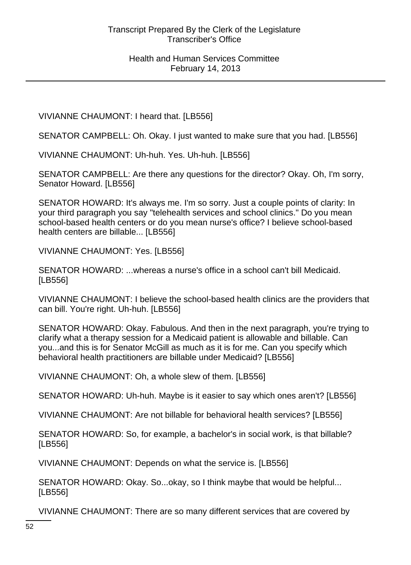VIVIANNE CHAUMONT: I heard that. [LB556]

SENATOR CAMPBELL: Oh. Okay. I just wanted to make sure that you had. [LB556]

VIVIANNE CHAUMONT: Uh-huh. Yes. Uh-huh. [LB556]

SENATOR CAMPBELL: Are there any questions for the director? Okay. Oh, I'm sorry, Senator Howard. [LB556]

SENATOR HOWARD: It's always me. I'm so sorry. Just a couple points of clarity: In your third paragraph you say "telehealth services and school clinics." Do you mean school-based health centers or do you mean nurse's office? I believe school-based health centers are billable... [LB556]

VIVIANNE CHAUMONT: Yes. [LB556]

SENATOR HOWARD: ...whereas a nurse's office in a school can't bill Medicaid. [LB556]

VIVIANNE CHAUMONT: I believe the school-based health clinics are the providers that can bill. You're right. Uh-huh. [LB556]

SENATOR HOWARD: Okay. Fabulous. And then in the next paragraph, you're trying to clarify what a therapy session for a Medicaid patient is allowable and billable. Can you...and this is for Senator McGill as much as it is for me. Can you specify which behavioral health practitioners are billable under Medicaid? [LB556]

VIVIANNE CHAUMONT: Oh, a whole slew of them. [LB556]

SENATOR HOWARD: Uh-huh. Maybe is it easier to say which ones aren't? [LB556]

VIVIANNE CHAUMONT: Are not billable for behavioral health services? [LB556]

SENATOR HOWARD: So, for example, a bachelor's in social work, is that billable? [LB556]

VIVIANNE CHAUMONT: Depends on what the service is. [LB556]

SENATOR HOWARD: Okay. So...okay, so I think maybe that would be helpful... [LB556]

VIVIANNE CHAUMONT: There are so many different services that are covered by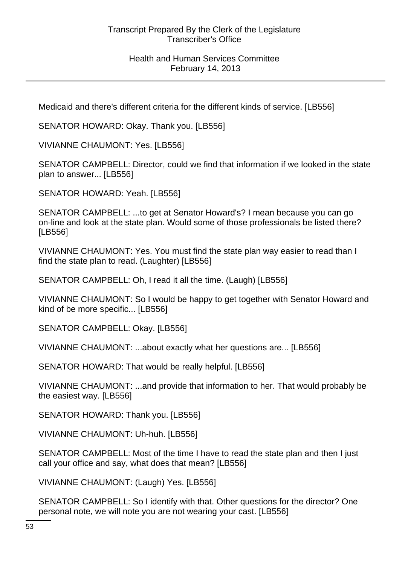#### Health and Human Services Committee February 14, 2013

Medicaid and there's different criteria for the different kinds of service. [LB556]

SENATOR HOWARD: Okay. Thank you. [LB556]

VIVIANNE CHAUMONT: Yes. [LB556]

SENATOR CAMPBELL: Director, could we find that information if we looked in the state plan to answer... [LB556]

SENATOR HOWARD: Yeah. [LB556]

SENATOR CAMPBELL: ...to get at Senator Howard's? I mean because you can go on-line and look at the state plan. Would some of those professionals be listed there? [LB556]

VIVIANNE CHAUMONT: Yes. You must find the state plan way easier to read than I find the state plan to read. (Laughter) [LB556]

SENATOR CAMPBELL: Oh, I read it all the time. (Laugh) [LB556]

VIVIANNE CHAUMONT: So I would be happy to get together with Senator Howard and kind of be more specific... [LB556]

SENATOR CAMPBELL: Okay. [LB556]

VIVIANNE CHAUMONT: ...about exactly what her questions are... [LB556]

SENATOR HOWARD: That would be really helpful. [LB556]

VIVIANNE CHAUMONT: ...and provide that information to her. That would probably be the easiest way. [LB556]

SENATOR HOWARD: Thank you. [LB556]

VIVIANNE CHAUMONT: Uh-huh. [LB556]

SENATOR CAMPBELL: Most of the time I have to read the state plan and then I just call your office and say, what does that mean? [LB556]

VIVIANNE CHAUMONT: (Laugh) Yes. [LB556]

SENATOR CAMPBELL: So I identify with that. Other questions for the director? One personal note, we will note you are not wearing your cast. [LB556]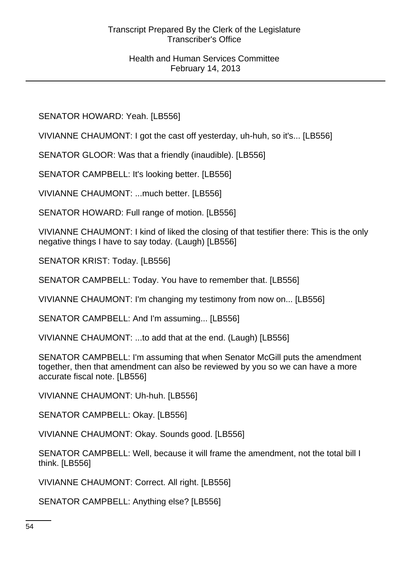SENATOR HOWARD: Yeah. [LB556]

VIVIANNE CHAUMONT: I got the cast off yesterday, uh-huh, so it's... [LB556]

SENATOR GLOOR: Was that a friendly (inaudible). [LB556]

SENATOR CAMPBELL: It's looking better. [LB556]

VIVIANNE CHAUMONT: ...much better. [LB556]

SENATOR HOWARD: Full range of motion. [LB556]

VIVIANNE CHAUMONT: I kind of liked the closing of that testifier there: This is the only negative things I have to say today. (Laugh) [LB556]

SENATOR KRIST: Today. [LB556]

SENATOR CAMPBELL: Today. You have to remember that. [LB556]

VIVIANNE CHAUMONT: I'm changing my testimony from now on... [LB556]

SENATOR CAMPBELL: And I'm assuming... [LB556]

VIVIANNE CHAUMONT: ...to add that at the end. (Laugh) [LB556]

SENATOR CAMPBELL: I'm assuming that when Senator McGill puts the amendment together, then that amendment can also be reviewed by you so we can have a more accurate fiscal note. [LB556]

VIVIANNE CHAUMONT: Uh-huh. [LB556]

SENATOR CAMPBELL: Okay. [LB556]

VIVIANNE CHAUMONT: Okay. Sounds good. [LB556]

SENATOR CAMPBELL: Well, because it will frame the amendment, not the total bill I think. [LB556]

VIVIANNE CHAUMONT: Correct. All right. [LB556]

SENATOR CAMPBELL: Anything else? [LB556]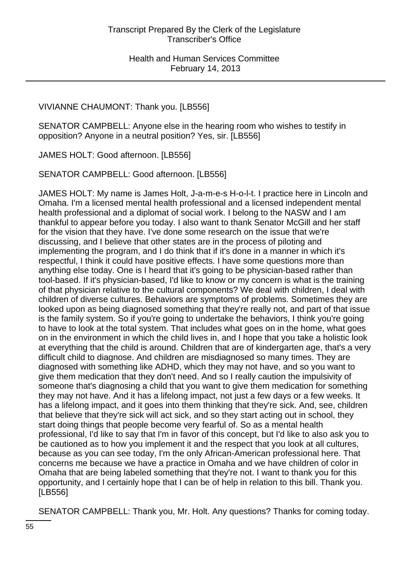# VIVIANNE CHAUMONT: Thank you. [LB556]

SENATOR CAMPBELL: Anyone else in the hearing room who wishes to testify in opposition? Anyone in a neutral position? Yes, sir. [LB556]

JAMES HOLT: Good afternoon. [LB556]

SENATOR CAMPBELL: Good afternoon. [LB556]

JAMES HOLT: My name is James Holt, J-a-m-e-s H-o-l-t. I practice here in Lincoln and Omaha. I'm a licensed mental health professional and a licensed independent mental health professional and a diplomat of social work. I belong to the NASW and I am thankful to appear before you today. I also want to thank Senator McGill and her staff for the vision that they have. I've done some research on the issue that we're discussing, and I believe that other states are in the process of piloting and implementing the program, and I do think that if it's done in a manner in which it's respectful, I think it could have positive effects. I have some questions more than anything else today. One is I heard that it's going to be physician-based rather than tool-based. If it's physician-based, I'd like to know or my concern is what is the training of that physician relative to the cultural components? We deal with children, I deal with children of diverse cultures. Behaviors are symptoms of problems. Sometimes they are looked upon as being diagnosed something that they're really not, and part of that issue is the family system. So if you're going to undertake the behaviors, I think you're going to have to look at the total system. That includes what goes on in the home, what goes on in the environment in which the child lives in, and I hope that you take a holistic look at everything that the child is around. Children that are of kindergarten age, that's a very difficult child to diagnose. And children are misdiagnosed so many times. They are diagnosed with something like ADHD, which they may not have, and so you want to give them medication that they don't need. And so I really caution the impulsivity of someone that's diagnosing a child that you want to give them medication for something they may not have. And it has a lifelong impact, not just a few days or a few weeks. It has a lifelong impact, and it goes into them thinking that they're sick. And, see, children that believe that they're sick will act sick, and so they start acting out in school, they start doing things that people become very fearful of. So as a mental health professional, I'd like to say that I'm in favor of this concept, but I'd like to also ask you to be cautioned as to how you implement it and the respect that you look at all cultures, because as you can see today, I'm the only African-American professional here. That concerns me because we have a practice in Omaha and we have children of color in Omaha that are being labeled something that they're not. I want to thank you for this opportunity, and I certainly hope that I can be of help in relation to this bill. Thank you. [LB556]

SENATOR CAMPBELL: Thank you, Mr. Holt. Any questions? Thanks for coming today.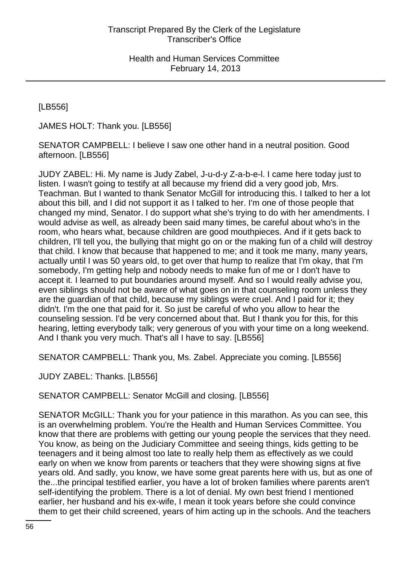[LB556]

JAMES HOLT: Thank you. [LB556]

SENATOR CAMPBELL: I believe I saw one other hand in a neutral position. Good afternoon. [LB556]

JUDY ZABEL: Hi. My name is Judy Zabel, J-u-d-y Z-a-b-e-l. I came here today just to listen. I wasn't going to testify at all because my friend did a very good job, Mrs. Teachman. But I wanted to thank Senator McGill for introducing this. I talked to her a lot about this bill, and I did not support it as I talked to her. I'm one of those people that changed my mind, Senator. I do support what she's trying to do with her amendments. I would advise as well, as already been said many times, be careful about who's in the room, who hears what, because children are good mouthpieces. And if it gets back to children, I'll tell you, the bullying that might go on or the making fun of a child will destroy that child. I know that because that happened to me; and it took me many, many years, actually until I was 50 years old, to get over that hump to realize that I'm okay, that I'm somebody, I'm getting help and nobody needs to make fun of me or I don't have to accept it. I learned to put boundaries around myself. And so I would really advise you, even siblings should not be aware of what goes on in that counseling room unless they are the guardian of that child, because my siblings were cruel. And I paid for it; they didn't. I'm the one that paid for it. So just be careful of who you allow to hear the counseling session. I'd be very concerned about that. But I thank you for this, for this hearing, letting everybody talk; very generous of you with your time on a long weekend. And I thank you very much. That's all I have to say. [LB556]

SENATOR CAMPBELL: Thank you, Ms. Zabel. Appreciate you coming. [LB556]

JUDY ZABEL: Thanks. [LB556]

SENATOR CAMPBELL: Senator McGill and closing. [LB556]

SENATOR McGILL: Thank you for your patience in this marathon. As you can see, this is an overwhelming problem. You're the Health and Human Services Committee. You know that there are problems with getting our young people the services that they need. You know, as being on the Judiciary Committee and seeing things, kids getting to be teenagers and it being almost too late to really help them as effectively as we could early on when we know from parents or teachers that they were showing signs at five years old. And sadly, you know, we have some great parents here with us, but as one of the...the principal testified earlier, you have a lot of broken families where parents aren't self-identifying the problem. There is a lot of denial. My own best friend I mentioned earlier, her husband and his ex-wife, I mean it took years before she could convince them to get their child screened, years of him acting up in the schools. And the teachers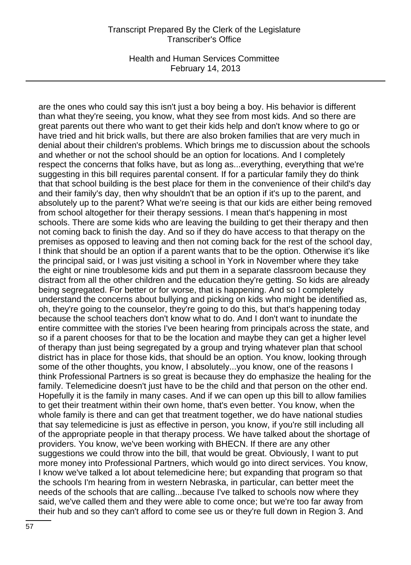Health and Human Services Committee February 14, 2013

are the ones who could say this isn't just a boy being a boy. His behavior is different than what they're seeing, you know, what they see from most kids. And so there are great parents out there who want to get their kids help and don't know where to go or have tried and hit brick walls, but there are also broken families that are very much in denial about their children's problems. Which brings me to discussion about the schools and whether or not the school should be an option for locations. And I completely respect the concerns that folks have, but as long as...everything, everything that we're suggesting in this bill requires parental consent. If for a particular family they do think that that school building is the best place for them in the convenience of their child's day and their family's day, then why shouldn't that be an option if it's up to the parent, and absolutely up to the parent? What we're seeing is that our kids are either being removed from school altogether for their therapy sessions. I mean that's happening in most schools. There are some kids who are leaving the building to get their therapy and then not coming back to finish the day. And so if they do have access to that therapy on the premises as opposed to leaving and then not coming back for the rest of the school day, I think that should be an option if a parent wants that to be the option. Otherwise it's like the principal said, or I was just visiting a school in York in November where they take the eight or nine troublesome kids and put them in a separate classroom because they distract from all the other children and the education they're getting. So kids are already being segregated. For better or for worse, that is happening. And so I completely understand the concerns about bullying and picking on kids who might be identified as, oh, they're going to the counselor, they're going to do this, but that's happening today because the school teachers don't know what to do. And I don't want to inundate the entire committee with the stories I've been hearing from principals across the state, and so if a parent chooses for that to be the location and maybe they can get a higher level of therapy than just being segregated by a group and trying whatever plan that school district has in place for those kids, that should be an option. You know, looking through some of the other thoughts, you know, I absolutely...you know, one of the reasons I think Professional Partners is so great is because they do emphasize the healing for the family. Telemedicine doesn't just have to be the child and that person on the other end. Hopefully it is the family in many cases. And if we can open up this bill to allow families to get their treatment within their own home, that's even better. You know, when the whole family is there and can get that treatment together, we do have national studies that say telemedicine is just as effective in person, you know, if you're still including all of the appropriate people in that therapy process. We have talked about the shortage of providers. You know, we've been working with BHECN. If there are any other suggestions we could throw into the bill, that would be great. Obviously, I want to put more money into Professional Partners, which would go into direct services. You know, I know we've talked a lot about telemedicine here; but expanding that program so that the schools I'm hearing from in western Nebraska, in particular, can better meet the needs of the schools that are calling...because I've talked to schools now where they said, we've called them and they were able to come once; but we're too far away from their hub and so they can't afford to come see us or they're full down in Region 3. And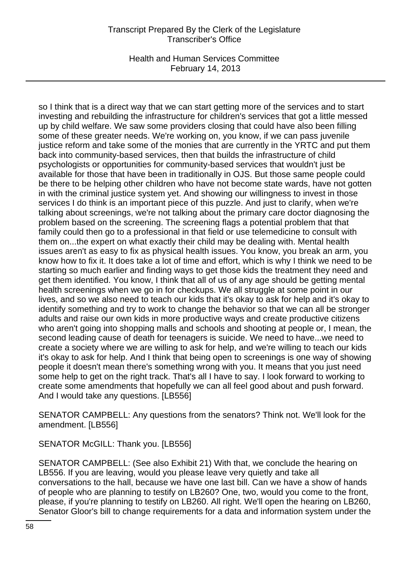Health and Human Services Committee February 14, 2013

so I think that is a direct way that we can start getting more of the services and to start investing and rebuilding the infrastructure for children's services that got a little messed up by child welfare. We saw some providers closing that could have also been filling some of these greater needs. We're working on, you know, if we can pass juvenile justice reform and take some of the monies that are currently in the YRTC and put them back into community-based services, then that builds the infrastructure of child psychologists or opportunities for community-based services that wouldn't just be available for those that have been in traditionally in OJS. But those same people could be there to be helping other children who have not become state wards, have not gotten in with the criminal justice system yet. And showing our willingness to invest in those services I do think is an important piece of this puzzle. And just to clarify, when we're talking about screenings, we're not talking about the primary care doctor diagnosing the problem based on the screening. The screening flags a potential problem that that family could then go to a professional in that field or use telemedicine to consult with them on...the expert on what exactly their child may be dealing with. Mental health issues aren't as easy to fix as physical health issues. You know, you break an arm, you know how to fix it. It does take a lot of time and effort, which is why I think we need to be starting so much earlier and finding ways to get those kids the treatment they need and get them identified. You know, I think that all of us of any age should be getting mental health screenings when we go in for checkups. We all struggle at some point in our lives, and so we also need to teach our kids that it's okay to ask for help and it's okay to identify something and try to work to change the behavior so that we can all be stronger adults and raise our own kids in more productive ways and create productive citizens who aren't going into shopping malls and schools and shooting at people or, I mean, the second leading cause of death for teenagers is suicide. We need to have...we need to create a society where we are willing to ask for help, and we're willing to teach our kids it's okay to ask for help. And I think that being open to screenings is one way of showing people it doesn't mean there's something wrong with you. It means that you just need some help to get on the right track. That's all I have to say. I look forward to working to create some amendments that hopefully we can all feel good about and push forward. And I would take any questions. [LB556]

SENATOR CAMPBELL: Any questions from the senators? Think not. We'll look for the amendment. [LB556]

SENATOR McGILL: Thank you. [LB556]

SENATOR CAMPBELL: (See also Exhibit 21) With that, we conclude the hearing on LB556. If you are leaving, would you please leave very quietly and take all conversations to the hall, because we have one last bill. Can we have a show of hands of people who are planning to testify on LB260? One, two, would you come to the front, please, if you're planning to testify on LB260. All right. We'll open the hearing on LB260, Senator Gloor's bill to change requirements for a data and information system under the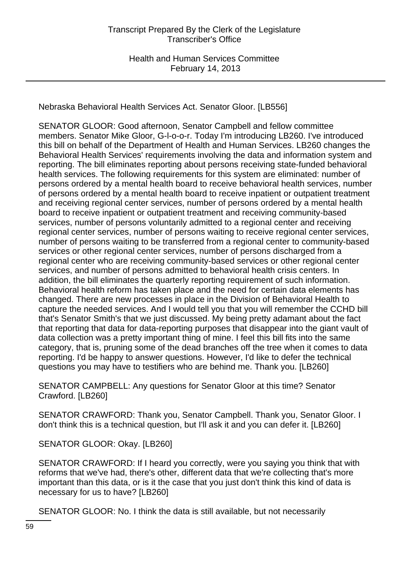Nebraska Behavioral Health Services Act. Senator Gloor. [LB556]

SENATOR GLOOR: Good afternoon, Senator Campbell and fellow committee members. Senator Mike Gloor, G-l-o-o-r. Today I'm introducing LB260. I've introduced this bill on behalf of the Department of Health and Human Services. LB260 changes the Behavioral Health Services' requirements involving the data and information system and reporting. The bill eliminates reporting about persons receiving state-funded behavioral health services. The following requirements for this system are eliminated: number of persons ordered by a mental health board to receive behavioral health services, number of persons ordered by a mental health board to receive inpatient or outpatient treatment and receiving regional center services, number of persons ordered by a mental health board to receive inpatient or outpatient treatment and receiving community-based services, number of persons voluntarily admitted to a regional center and receiving regional center services, number of persons waiting to receive regional center services, number of persons waiting to be transferred from a regional center to community-based services or other regional center services, number of persons discharged from a regional center who are receiving community-based services or other regional center services, and number of persons admitted to behavioral health crisis centers. In addition, the bill eliminates the quarterly reporting requirement of such information. Behavioral health reform has taken place and the need for certain data elements has changed. There are new processes in place in the Division of Behavioral Health to capture the needed services. And I would tell you that you will remember the CCHD bill that's Senator Smith's that we just discussed. My being pretty adamant about the fact that reporting that data for data-reporting purposes that disappear into the giant vault of data collection was a pretty important thing of mine. I feel this bill fits into the same category, that is, pruning some of the dead branches off the tree when it comes to data reporting. I'd be happy to answer questions. However, I'd like to defer the technical questions you may have to testifiers who are behind me. Thank you. [LB260]

SENATOR CAMPBELL: Any questions for Senator Gloor at this time? Senator Crawford. [LB260]

SENATOR CRAWFORD: Thank you, Senator Campbell. Thank you, Senator Gloor. I don't think this is a technical question, but I'll ask it and you can defer it. [LB260]

SENATOR GLOOR: Okay. [LB260]

SENATOR CRAWFORD: If I heard you correctly, were you saying you think that with reforms that we've had, there's other, different data that we're collecting that's more important than this data, or is it the case that you just don't think this kind of data is necessary for us to have? [LB260]

SENATOR GLOOR: No. I think the data is still available, but not necessarily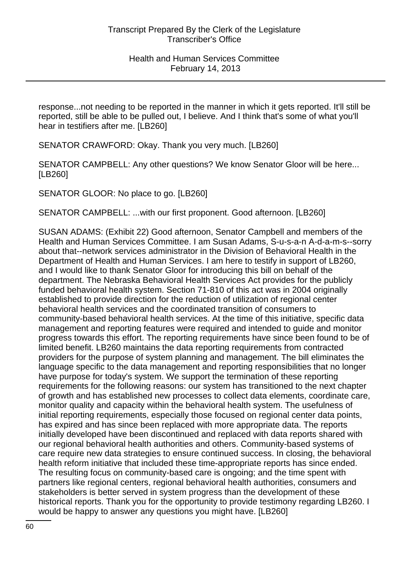response...not needing to be reported in the manner in which it gets reported. It'll still be reported, still be able to be pulled out, I believe. And I think that's some of what you'll hear in testifiers after me. [LB260]

SENATOR CRAWFORD: Okay. Thank you very much. [LB260]

SENATOR CAMPBELL: Any other questions? We know Senator Gloor will be here... [LB260]

SENATOR GLOOR: No place to go. [LB260]

SENATOR CAMPBELL: ...with our first proponent. Good afternoon. [LB260]

SUSAN ADAMS: (Exhibit 22) Good afternoon, Senator Campbell and members of the Health and Human Services Committee. I am Susan Adams, S-u-s-a-n A-d-a-m-s--sorry about that--network services administrator in the Division of Behavioral Health in the Department of Health and Human Services. I am here to testify in support of LB260, and I would like to thank Senator Gloor for introducing this bill on behalf of the department. The Nebraska Behavioral Health Services Act provides for the publicly funded behavioral health system. Section 71-810 of this act was in 2004 originally established to provide direction for the reduction of utilization of regional center behavioral health services and the coordinated transition of consumers to community-based behavioral health services. At the time of this initiative, specific data management and reporting features were required and intended to guide and monitor progress towards this effort. The reporting requirements have since been found to be of limited benefit. LB260 maintains the data reporting requirements from contracted providers for the purpose of system planning and management. The bill eliminates the language specific to the data management and reporting responsibilities that no longer have purpose for today's system. We support the termination of these reporting requirements for the following reasons: our system has transitioned to the next chapter of growth and has established new processes to collect data elements, coordinate care, monitor quality and capacity within the behavioral health system. The usefulness of initial reporting requirements, especially those focused on regional center data points, has expired and has since been replaced with more appropriate data. The reports initially developed have been discontinued and replaced with data reports shared with our regional behavioral health authorities and others. Community-based systems of care require new data strategies to ensure continued success. In closing, the behavioral health reform initiative that included these time-appropriate reports has since ended. The resulting focus on community-based care is ongoing; and the time spent with partners like regional centers, regional behavioral health authorities, consumers and stakeholders is better served in system progress than the development of these historical reports. Thank you for the opportunity to provide testimony regarding LB260. I would be happy to answer any questions you might have. [LB260]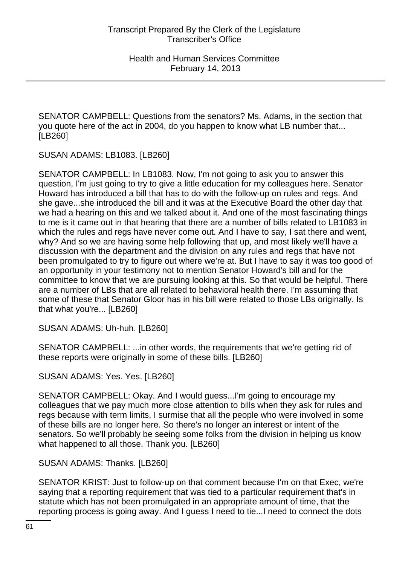SENATOR CAMPBELL: Questions from the senators? Ms. Adams, in the section that you quote here of the act in 2004, do you happen to know what LB number that... [LB260]

SUSAN ADAMS: LB1083. [LB260]

SENATOR CAMPBELL: In LB1083. Now, I'm not going to ask you to answer this question, I'm just going to try to give a little education for my colleagues here. Senator Howard has introduced a bill that has to do with the follow-up on rules and regs. And she gave...she introduced the bill and it was at the Executive Board the other day that we had a hearing on this and we talked about it. And one of the most fascinating things to me is it came out in that hearing that there are a number of bills related to LB1083 in which the rules and regs have never come out. And I have to say, I sat there and went, why? And so we are having some help following that up, and most likely we'll have a discussion with the department and the division on any rules and regs that have not been promulgated to try to figure out where we're at. But I have to say it was too good of an opportunity in your testimony not to mention Senator Howard's bill and for the committee to know that we are pursuing looking at this. So that would be helpful. There are a number of LBs that are all related to behavioral health there. I'm assuming that some of these that Senator Gloor has in his bill were related to those LBs originally. Is that what you're... [LB260]

SUSAN ADAMS: Uh-huh. [LB260]

SENATOR CAMPBELL: ...in other words, the requirements that we're getting rid of these reports were originally in some of these bills. [LB260]

SUSAN ADAMS: Yes. Yes. [LB260]

SENATOR CAMPBELL: Okay. And I would guess...I'm going to encourage my colleagues that we pay much more close attention to bills when they ask for rules and regs because with term limits, I surmise that all the people who were involved in some of these bills are no longer here. So there's no longer an interest or intent of the senators. So we'll probably be seeing some folks from the division in helping us know what happened to all those. Thank you. [LB260]

SUSAN ADAMS: Thanks. [LB260]

SENATOR KRIST: Just to follow-up on that comment because I'm on that Exec, we're saying that a reporting requirement that was tied to a particular requirement that's in statute which has not been promulgated in an appropriate amount of time, that the reporting process is going away. And I guess I need to tie...I need to connect the dots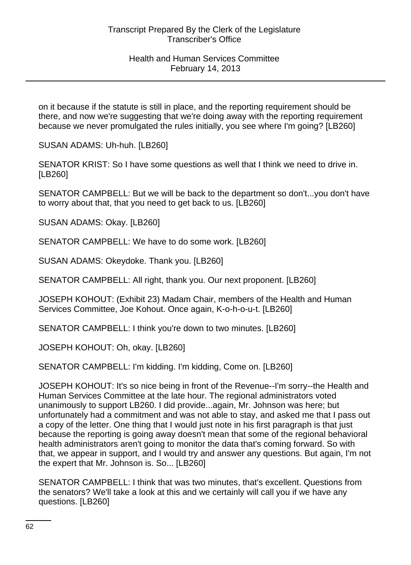on it because if the statute is still in place, and the reporting requirement should be there, and now we're suggesting that we're doing away with the reporting requirement because we never promulgated the rules initially, you see where I'm going? [LB260]

SUSAN ADAMS: Uh-huh. [LB260]

SENATOR KRIST: So I have some questions as well that I think we need to drive in. [LB260]

SENATOR CAMPBELL: But we will be back to the department so don't...you don't have to worry about that, that you need to get back to us. [LB260]

SUSAN ADAMS: Okay. [LB260]

SENATOR CAMPBELL: We have to do some work. [LB260]

SUSAN ADAMS: Okeydoke. Thank you. [LB260]

SENATOR CAMPBELL: All right, thank you. Our next proponent. [LB260]

JOSEPH KOHOUT: (Exhibit 23) Madam Chair, members of the Health and Human Services Committee, Joe Kohout. Once again, K-o-h-o-u-t. [LB260]

SENATOR CAMPBELL: I think you're down to two minutes. [LB260]

JOSEPH KOHOUT: Oh, okay. [LB260]

SENATOR CAMPBELL: I'm kidding. I'm kidding, Come on. [LB260]

JOSEPH KOHOUT: It's so nice being in front of the Revenue--I'm sorry--the Health and Human Services Committee at the late hour. The regional administrators voted unanimously to support LB260. I did provide...again, Mr. Johnson was here; but unfortunately had a commitment and was not able to stay, and asked me that I pass out a copy of the letter. One thing that I would just note in his first paragraph is that just because the reporting is going away doesn't mean that some of the regional behavioral health administrators aren't going to monitor the data that's coming forward. So with that, we appear in support, and I would try and answer any questions. But again, I'm not the expert that Mr. Johnson is. So... [LB260]

SENATOR CAMPBELL: I think that was two minutes, that's excellent. Questions from the senators? We'll take a look at this and we certainly will call you if we have any questions. [LB260]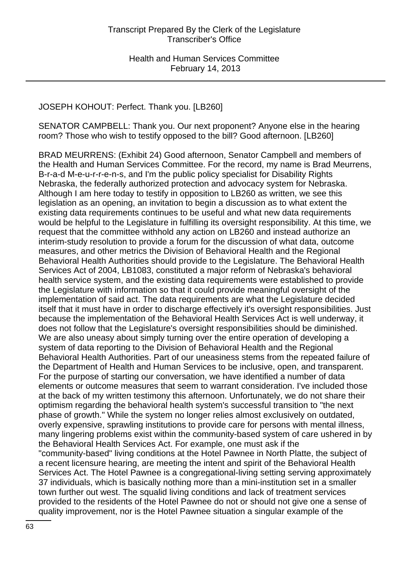# JOSEPH KOHOUT: Perfect. Thank you. [LB260]

SENATOR CAMPBELL: Thank you. Our next proponent? Anyone else in the hearing room? Those who wish to testify opposed to the bill? Good afternoon. [LB260]

BRAD MEURRENS: (Exhibit 24) Good afternoon, Senator Campbell and members of the Health and Human Services Committee. For the record, my name is Brad Meurrens, B-r-a-d M-e-u-r-r-e-n-s, and I'm the public policy specialist for Disability Rights Nebraska, the federally authorized protection and advocacy system for Nebraska. Although I am here today to testify in opposition to LB260 as written, we see this legislation as an opening, an invitation to begin a discussion as to what extent the existing data requirements continues to be useful and what new data requirements would be helpful to the Legislature in fulfilling its oversight responsibility. At this time, we request that the committee withhold any action on LB260 and instead authorize an interim-study resolution to provide a forum for the discussion of what data, outcome measures, and other metrics the Division of Behavioral Health and the Regional Behavioral Health Authorities should provide to the Legislature. The Behavioral Health Services Act of 2004, LB1083, constituted a major reform of Nebraska's behavioral health service system, and the existing data requirements were established to provide the Legislature with information so that it could provide meaningful oversight of the implementation of said act. The data requirements are what the Legislature decided itself that it must have in order to discharge effectively it's oversight responsibilities. Just because the implementation of the Behavioral Health Services Act is well underway, it does not follow that the Legislature's oversight responsibilities should be diminished. We are also uneasy about simply turning over the entire operation of developing a system of data reporting to the Division of Behavioral Health and the Regional Behavioral Health Authorities. Part of our uneasiness stems from the repeated failure of the Department of Health and Human Services to be inclusive, open, and transparent. For the purpose of starting our conversation, we have identified a number of data elements or outcome measures that seem to warrant consideration. I've included those at the back of my written testimony this afternoon. Unfortunately, we do not share their optimism regarding the behavioral health system's successful transition to "the next phase of growth." While the system no longer relies almost exclusively on outdated, overly expensive, sprawling institutions to provide care for persons with mental illness, many lingering problems exist within the community-based system of care ushered in by the Behavioral Health Services Act. For example, one must ask if the "community-based" living conditions at the Hotel Pawnee in North Platte, the subject of a recent licensure hearing, are meeting the intent and spirit of the Behavioral Health Services Act. The Hotel Pawnee is a congregational-living setting serving approximately 37 individuals, which is basically nothing more than a mini-institution set in a smaller town further out west. The squalid living conditions and lack of treatment services provided to the residents of the Hotel Pawnee do not or should not give one a sense of quality improvement, nor is the Hotel Pawnee situation a singular example of the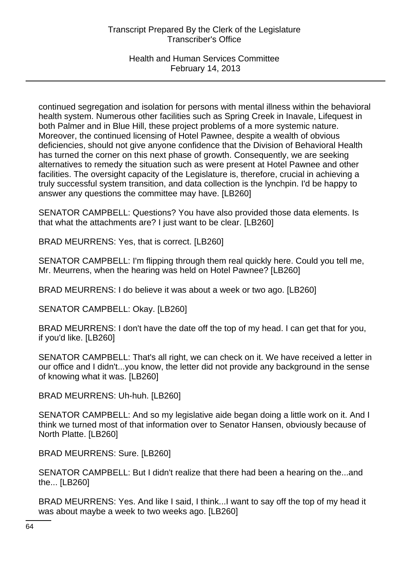## Health and Human Services Committee February 14, 2013

continued segregation and isolation for persons with mental illness within the behavioral health system. Numerous other facilities such as Spring Creek in Inavale, Lifequest in both Palmer and in Blue Hill, these project problems of a more systemic nature. Moreover, the continued licensing of Hotel Pawnee, despite a wealth of obvious deficiencies, should not give anyone confidence that the Division of Behavioral Health has turned the corner on this next phase of growth. Consequently, we are seeking alternatives to remedy the situation such as were present at Hotel Pawnee and other facilities. The oversight capacity of the Legislature is, therefore, crucial in achieving a truly successful system transition, and data collection is the lynchpin. I'd be happy to answer any questions the committee may have. [LB260]

SENATOR CAMPBELL: Questions? You have also provided those data elements. Is that what the attachments are? I just want to be clear. [LB260]

BRAD MEURRENS: Yes, that is correct. [LB260]

SENATOR CAMPBELL: I'm flipping through them real quickly here. Could you tell me, Mr. Meurrens, when the hearing was held on Hotel Pawnee? [LB260]

BRAD MEURRENS: I do believe it was about a week or two ago. [LB260]

SENATOR CAMPBELL: Okay. [LB260]

BRAD MEURRENS: I don't have the date off the top of my head. I can get that for you, if you'd like. [LB260]

SENATOR CAMPBELL: That's all right, we can check on it. We have received a letter in our office and I didn't...you know, the letter did not provide any background in the sense of knowing what it was. [LB260]

BRAD MEURRENS: Uh-huh. [LB260]

SENATOR CAMPBELL: And so my legislative aide began doing a little work on it. And I think we turned most of that information over to Senator Hansen, obviously because of North Platte. [LB260]

BRAD MEURRENS: Sure. [LB260]

SENATOR CAMPBELL: But I didn't realize that there had been a hearing on the...and the... [LB260]

BRAD MEURRENS: Yes. And like I said, I think...I want to say off the top of my head it was about maybe a week to two weeks ago. [LB260]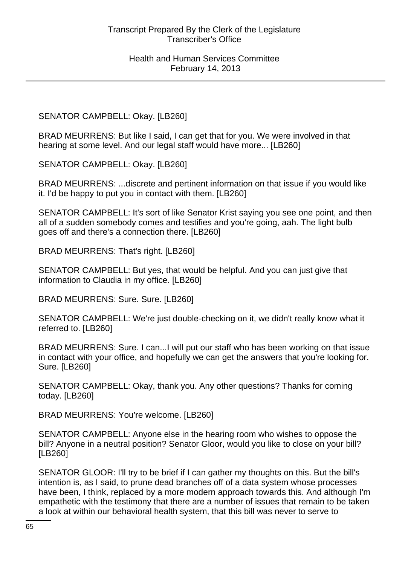SENATOR CAMPBELL: Okay. [LB260]

BRAD MEURRENS: But like I said, I can get that for you. We were involved in that hearing at some level. And our legal staff would have more... [LB260]

SENATOR CAMPBELL: Okay. [LB260]

BRAD MEURRENS: ...discrete and pertinent information on that issue if you would like it. I'd be happy to put you in contact with them. [LB260]

SENATOR CAMPBELL: It's sort of like Senator Krist saying you see one point, and then all of a sudden somebody comes and testifies and you're going, aah. The light bulb goes off and there's a connection there. [LB260]

BRAD MEURRENS: That's right. [LB260]

SENATOR CAMPBELL: But yes, that would be helpful. And you can just give that information to Claudia in my office. [LB260]

BRAD MEURRENS: Sure. Sure. [LB260]

SENATOR CAMPBELL: We're just double-checking on it, we didn't really know what it referred to. [LB260]

BRAD MEURRENS: Sure. I can...I will put our staff who has been working on that issue in contact with your office, and hopefully we can get the answers that you're looking for. Sure. [LB260]

SENATOR CAMPBELL: Okay, thank you. Any other questions? Thanks for coming today. [LB260]

BRAD MEURRENS: You're welcome. [LB260]

SENATOR CAMPBELL: Anyone else in the hearing room who wishes to oppose the bill? Anyone in a neutral position? Senator Gloor, would you like to close on your bill? [LB260]

SENATOR GLOOR: I'll try to be brief if I can gather my thoughts on this. But the bill's intention is, as I said, to prune dead branches off of a data system whose processes have been, I think, replaced by a more modern approach towards this. And although I'm empathetic with the testimony that there are a number of issues that remain to be taken a look at within our behavioral health system, that this bill was never to serve to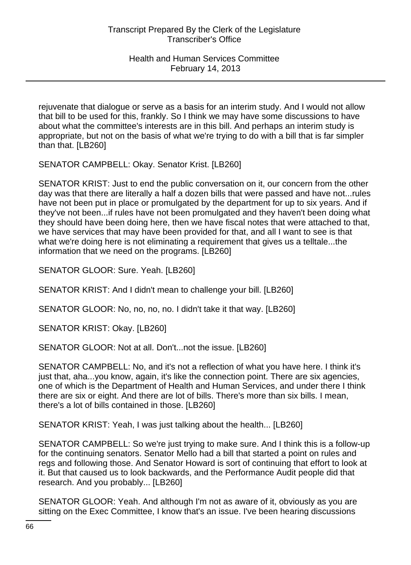rejuvenate that dialogue or serve as a basis for an interim study. And I would not allow that bill to be used for this, frankly. So I think we may have some discussions to have about what the committee's interests are in this bill. And perhaps an interim study is appropriate, but not on the basis of what we're trying to do with a bill that is far simpler than that. [LB260]

SENATOR CAMPBELL: Okay. Senator Krist. [LB260]

SENATOR KRIST: Just to end the public conversation on it, our concern from the other day was that there are literally a half a dozen bills that were passed and have not...rules have not been put in place or promulgated by the department for up to six years. And if they've not been...if rules have not been promulgated and they haven't been doing what they should have been doing here, then we have fiscal notes that were attached to that, we have services that may have been provided for that, and all I want to see is that what we're doing here is not eliminating a requirement that gives us a telltale...the information that we need on the programs. [LB260]

SENATOR GLOOR: Sure. Yeah. [LB260]

SENATOR KRIST: And I didn't mean to challenge your bill. [LB260]

SENATOR GLOOR: No, no, no, no. I didn't take it that way. [LB260]

SENATOR KRIST: Okay. [LB260]

SENATOR GLOOR: Not at all. Don't...not the issue. [LB260]

SENATOR CAMPBELL: No, and it's not a reflection of what you have here. I think it's just that, aha...you know, again, it's like the connection point. There are six agencies, one of which is the Department of Health and Human Services, and under there I think there are six or eight. And there are lot of bills. There's more than six bills. I mean, there's a lot of bills contained in those. [LB260]

SENATOR KRIST: Yeah, I was just talking about the health... [LB260]

SENATOR CAMPBELL: So we're just trying to make sure. And I think this is a follow-up for the continuing senators. Senator Mello had a bill that started a point on rules and regs and following those. And Senator Howard is sort of continuing that effort to look at it. But that caused us to look backwards, and the Performance Audit people did that research. And you probably... [LB260]

SENATOR GLOOR: Yeah. And although I'm not as aware of it, obviously as you are sitting on the Exec Committee, I know that's an issue. I've been hearing discussions